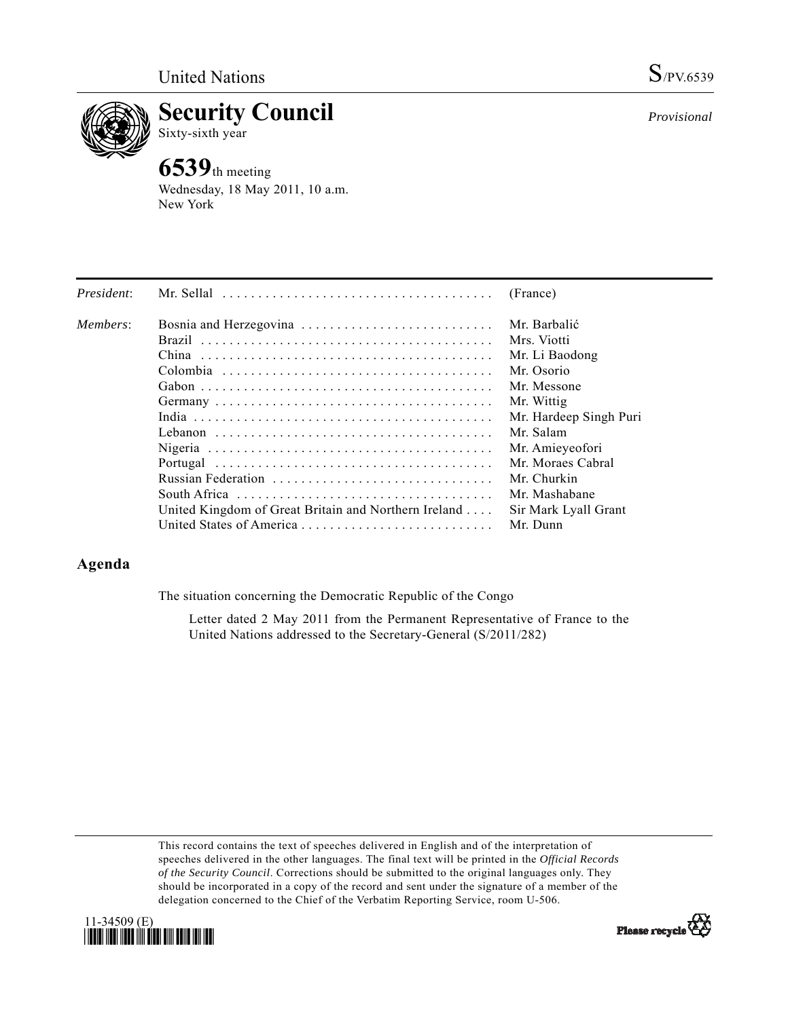

**Security Council**  Sixty-sixth year

# **6539**th meeting

Wednesday, 18 May 2011, 10 a.m. New York

| President: | Mr. Sellal $\ldots \ldots \ldots \ldots \ldots \ldots \ldots \ldots \ldots \ldots \ldots$ | (France)               |
|------------|-------------------------------------------------------------------------------------------|------------------------|
| Members:   | Bosnia and Herzegovina                                                                    | Mr. Barbalić           |
|            |                                                                                           | Mrs. Viotti            |
|            | China                                                                                     | Mr. Li Baodong         |
|            |                                                                                           | Mr. Osorio             |
|            |                                                                                           | Mr. Messone            |
|            |                                                                                           | Mr. Wittig             |
|            |                                                                                           | Mr. Hardeep Singh Puri |
|            |                                                                                           | Mr. Salam              |
|            |                                                                                           | Mr. Amieyeofori        |
|            |                                                                                           | Mr. Moraes Cabral      |
|            | Russian Federation                                                                        | Mr. Churkin            |
|            |                                                                                           | Mr. Mashabane          |
|            | United Kingdom of Great Britain and Northern Ireland                                      | Sir Mark Lyall Grant   |
|            | United States of America                                                                  | Mr. Dunn               |

# **Agenda**

The situation concerning the Democratic Republic of the Congo

 Letter dated 2 May 2011 from the Permanent Representative of France to the United Nations addressed to the Secretary-General (S/2011/282)

This record contains the text of speeches delivered in English and of the interpretation of speeches delivered in the other languages. The final text will be printed in the *Official Records of the Security Council*. Corrections should be submitted to the original languages only. They should be incorporated in a copy of the record and sent under the signature of a member of the delegation concerned to the Chief of the Verbatim Reporting Service, room U-506.





*Provisional*

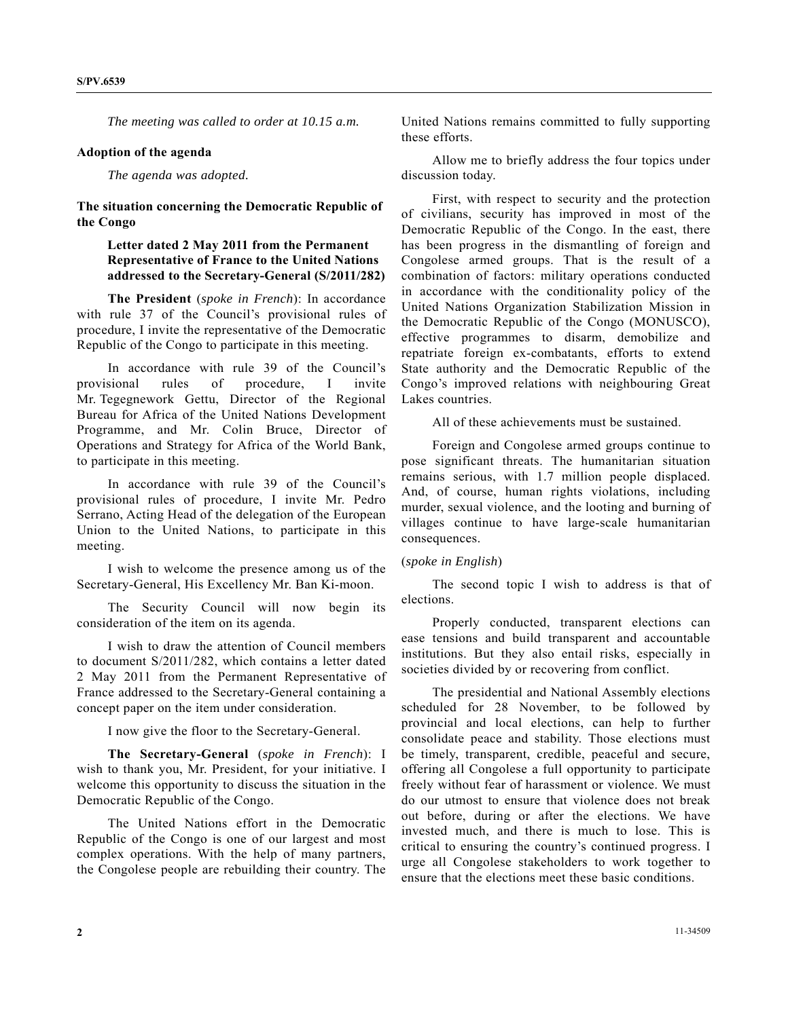*The meeting was called to order at 10.15 a.m.* 

#### **Adoption of the agenda**

 *The agenda was adopted.* 

**The situation concerning the Democratic Republic of the Congo** 

# **Letter dated 2 May 2011 from the Permanent Representative of France to the United Nations addressed to the Secretary-General (S/2011/282)**

**The President** (*spoke in French*): In accordance with rule 37 of the Council's provisional rules of procedure, I invite the representative of the Democratic Republic of the Congo to participate in this meeting.

 In accordance with rule 39 of the Council's provisional rules of procedure, I invite Mr. Tegegnework Gettu, Director of the Regional Bureau for Africa of the United Nations Development Programme, and Mr. Colin Bruce, Director of Operations and Strategy for Africa of the World Bank, to participate in this meeting.

 In accordance with rule 39 of the Council's provisional rules of procedure, I invite Mr. Pedro Serrano, Acting Head of the delegation of the European Union to the United Nations, to participate in this meeting.

 I wish to welcome the presence among us of the Secretary-General, His Excellency Mr. Ban Ki-moon.

 The Security Council will now begin its consideration of the item on its agenda.

 I wish to draw the attention of Council members to document S/2011/282, which contains a letter dated 2 May 2011 from the Permanent Representative of France addressed to the Secretary-General containing a concept paper on the item under consideration.

I now give the floor to the Secretary-General.

**The Secretary-General** (*spoke in French*): I wish to thank you, Mr. President, for your initiative. I welcome this opportunity to discuss the situation in the Democratic Republic of the Congo.

 The United Nations effort in the Democratic Republic of the Congo is one of our largest and most complex operations. With the help of many partners, the Congolese people are rebuilding their country. The

United Nations remains committed to fully supporting these efforts.

 Allow me to briefly address the four topics under discussion today.

 First, with respect to security and the protection of civilians, security has improved in most of the Democratic Republic of the Congo. In the east, there has been progress in the dismantling of foreign and Congolese armed groups. That is the result of a combination of factors: military operations conducted in accordance with the conditionality policy of the United Nations Organization Stabilization Mission in the Democratic Republic of the Congo (MONUSCO), effective programmes to disarm, demobilize and repatriate foreign ex-combatants, efforts to extend State authority and the Democratic Republic of the Congo's improved relations with neighbouring Great Lakes countries.

All of these achievements must be sustained.

 Foreign and Congolese armed groups continue to pose significant threats. The humanitarian situation remains serious, with 1.7 million people displaced. And, of course, human rights violations, including murder, sexual violence, and the looting and burning of villages continue to have large-scale humanitarian consequences.

# (*spoke in English*)

 The second topic I wish to address is that of elections.

 Properly conducted, transparent elections can ease tensions and build transparent and accountable institutions. But they also entail risks, especially in societies divided by or recovering from conflict.

 The presidential and National Assembly elections scheduled for 28 November, to be followed by provincial and local elections, can help to further consolidate peace and stability. Those elections must be timely, transparent, credible, peaceful and secure, offering all Congolese a full opportunity to participate freely without fear of harassment or violence. We must do our utmost to ensure that violence does not break out before, during or after the elections. We have invested much, and there is much to lose. This is critical to ensuring the country's continued progress. I urge all Congolese stakeholders to work together to ensure that the elections meet these basic conditions.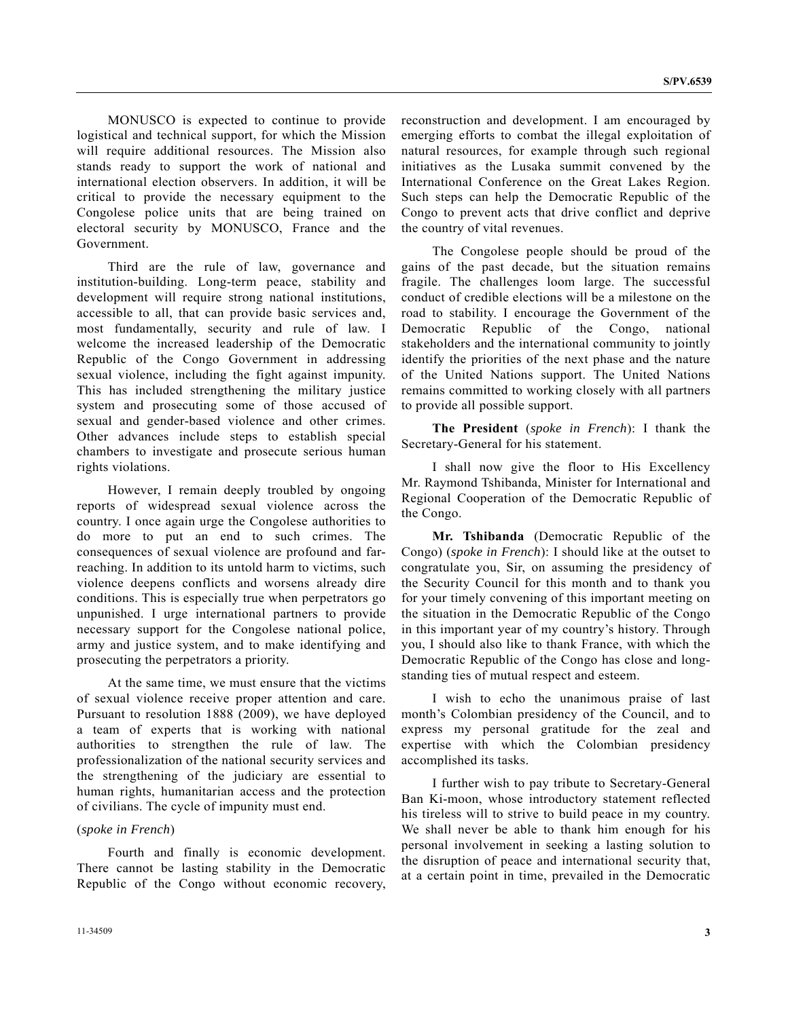MONUSCO is expected to continue to provide logistical and technical support, for which the Mission will require additional resources. The Mission also stands ready to support the work of national and international election observers. In addition, it will be critical to provide the necessary equipment to the Congolese police units that are being trained on electoral security by MONUSCO, France and the Government.

 Third are the rule of law, governance and institution-building. Long-term peace, stability and development will require strong national institutions, accessible to all, that can provide basic services and, most fundamentally, security and rule of law. I welcome the increased leadership of the Democratic Republic of the Congo Government in addressing sexual violence, including the fight against impunity. This has included strengthening the military justice system and prosecuting some of those accused of sexual and gender-based violence and other crimes. Other advances include steps to establish special chambers to investigate and prosecute serious human rights violations.

 However, I remain deeply troubled by ongoing reports of widespread sexual violence across the country. I once again urge the Congolese authorities to do more to put an end to such crimes. The consequences of sexual violence are profound and farreaching. In addition to its untold harm to victims, such violence deepens conflicts and worsens already dire conditions. This is especially true when perpetrators go unpunished. I urge international partners to provide necessary support for the Congolese national police, army and justice system, and to make identifying and prosecuting the perpetrators a priority.

 At the same time, we must ensure that the victims of sexual violence receive proper attention and care. Pursuant to resolution 1888 (2009), we have deployed a team of experts that is working with national authorities to strengthen the rule of law. The professionalization of the national security services and the strengthening of the judiciary are essential to human rights, humanitarian access and the protection of civilians. The cycle of impunity must end.

#### (*spoke in French*)

 Fourth and finally is economic development. There cannot be lasting stability in the Democratic Republic of the Congo without economic recovery,

reconstruction and development. I am encouraged by emerging efforts to combat the illegal exploitation of natural resources, for example through such regional initiatives as the Lusaka summit convened by the International Conference on the Great Lakes Region. Such steps can help the Democratic Republic of the Congo to prevent acts that drive conflict and deprive the country of vital revenues.

 The Congolese people should be proud of the gains of the past decade, but the situation remains fragile. The challenges loom large. The successful conduct of credible elections will be a milestone on the road to stability. I encourage the Government of the Democratic Republic of the Congo, national stakeholders and the international community to jointly identify the priorities of the next phase and the nature of the United Nations support. The United Nations remains committed to working closely with all partners to provide all possible support.

**The President** (*spoke in French*): I thank the Secretary-General for his statement.

 I shall now give the floor to His Excellency Mr. Raymond Tshibanda, Minister for International and Regional Cooperation of the Democratic Republic of the Congo.

**Mr. Tshibanda** (Democratic Republic of the Congo) (*spoke in French*): I should like at the outset to congratulate you, Sir, on assuming the presidency of the Security Council for this month and to thank you for your timely convening of this important meeting on the situation in the Democratic Republic of the Congo in this important year of my country's history. Through you, I should also like to thank France, with which the Democratic Republic of the Congo has close and longstanding ties of mutual respect and esteem.

 I wish to echo the unanimous praise of last month's Colombian presidency of the Council, and to express my personal gratitude for the zeal and expertise with which the Colombian presidency accomplished its tasks.

 I further wish to pay tribute to Secretary-General Ban Ki-moon, whose introductory statement reflected his tireless will to strive to build peace in my country. We shall never be able to thank him enough for his personal involvement in seeking a lasting solution to the disruption of peace and international security that, at a certain point in time, prevailed in the Democratic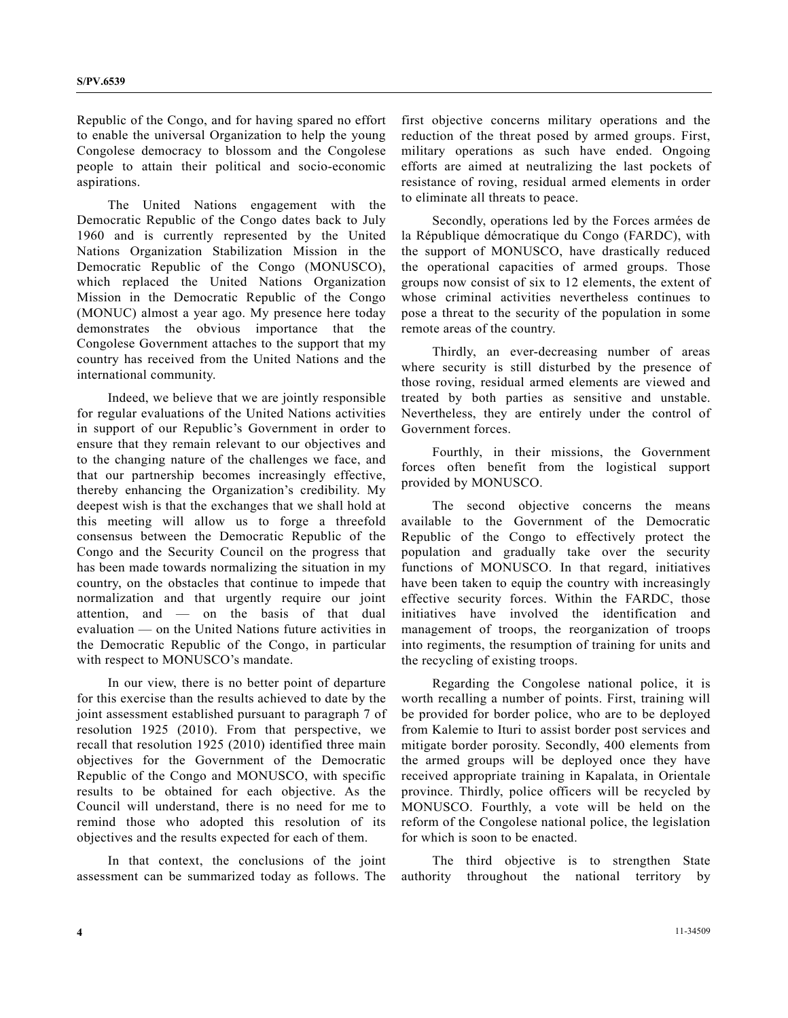Republic of the Congo, and for having spared no effort to enable the universal Organization to help the young Congolese democracy to blossom and the Congolese people to attain their political and socio-economic aspirations.

 The United Nations engagement with the Democratic Republic of the Congo dates back to July 1960 and is currently represented by the United Nations Organization Stabilization Mission in the Democratic Republic of the Congo (MONUSCO), which replaced the United Nations Organization Mission in the Democratic Republic of the Congo (MONUC) almost a year ago. My presence here today demonstrates the obvious importance that the Congolese Government attaches to the support that my country has received from the United Nations and the international community.

 Indeed, we believe that we are jointly responsible for regular evaluations of the United Nations activities in support of our Republic's Government in order to ensure that they remain relevant to our objectives and to the changing nature of the challenges we face, and that our partnership becomes increasingly effective, thereby enhancing the Organization's credibility. My deepest wish is that the exchanges that we shall hold at this meeting will allow us to forge a threefold consensus between the Democratic Republic of the Congo and the Security Council on the progress that has been made towards normalizing the situation in my country, on the obstacles that continue to impede that normalization and that urgently require our joint attention, and — on the basis of that dual evaluation — on the United Nations future activities in the Democratic Republic of the Congo, in particular with respect to MONUSCO's mandate.

 In our view, there is no better point of departure for this exercise than the results achieved to date by the joint assessment established pursuant to paragraph 7 of resolution 1925 (2010). From that perspective, we recall that resolution 1925 (2010) identified three main objectives for the Government of the Democratic Republic of the Congo and MONUSCO, with specific results to be obtained for each objective. As the Council will understand, there is no need for me to remind those who adopted this resolution of its objectives and the results expected for each of them.

 In that context, the conclusions of the joint assessment can be summarized today as follows. The first objective concerns military operations and the reduction of the threat posed by armed groups. First, military operations as such have ended. Ongoing efforts are aimed at neutralizing the last pockets of resistance of roving, residual armed elements in order to eliminate all threats to peace.

 Secondly, operations led by the Forces armées de la République démocratique du Congo (FARDC), with the support of MONUSCO, have drastically reduced the operational capacities of armed groups. Those groups now consist of six to 12 elements, the extent of whose criminal activities nevertheless continues to pose a threat to the security of the population in some remote areas of the country.

 Thirdly, an ever-decreasing number of areas where security is still disturbed by the presence of those roving, residual armed elements are viewed and treated by both parties as sensitive and unstable. Nevertheless, they are entirely under the control of Government forces.

 Fourthly, in their missions, the Government forces often benefit from the logistical support provided by MONUSCO.

 The second objective concerns the means available to the Government of the Democratic Republic of the Congo to effectively protect the population and gradually take over the security functions of MONUSCO. In that regard, initiatives have been taken to equip the country with increasingly effective security forces. Within the FARDC, those initiatives have involved the identification and management of troops, the reorganization of troops into regiments, the resumption of training for units and the recycling of existing troops.

 Regarding the Congolese national police, it is worth recalling a number of points. First, training will be provided for border police, who are to be deployed from Kalemie to Ituri to assist border post services and mitigate border porosity. Secondly, 400 elements from the armed groups will be deployed once they have received appropriate training in Kapalata, in Orientale province. Thirdly, police officers will be recycled by MONUSCO. Fourthly, a vote will be held on the reform of the Congolese national police, the legislation for which is soon to be enacted.

 The third objective is to strengthen State authority throughout the national territory by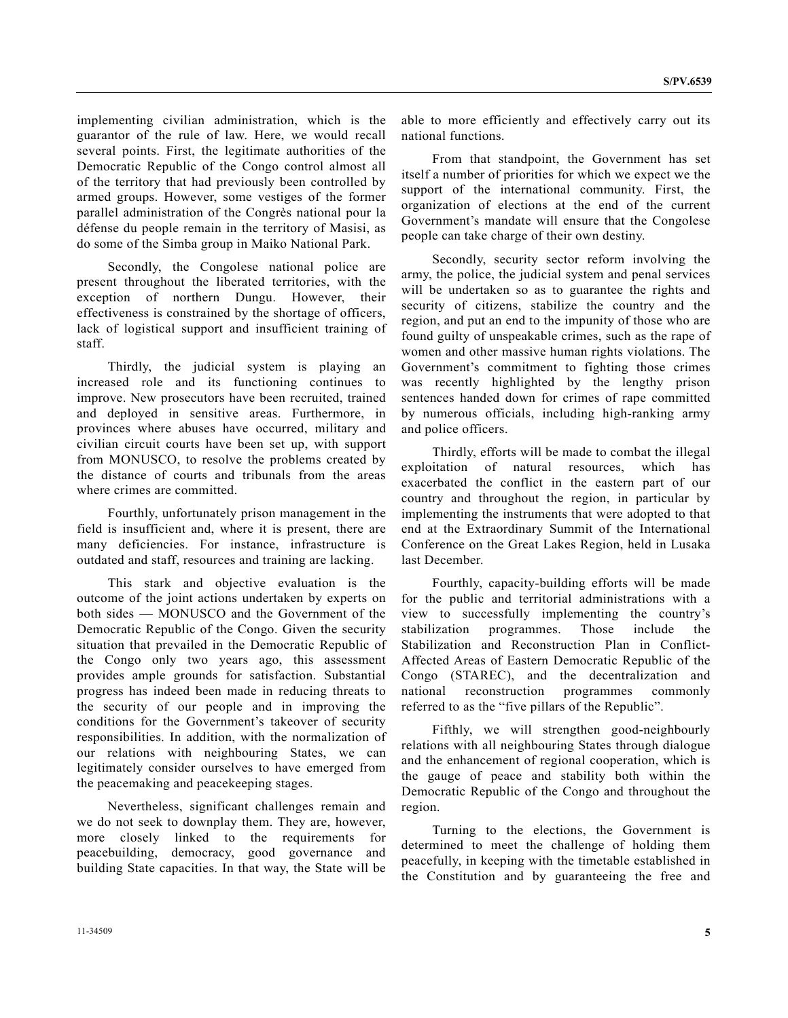implementing civilian administration, which is the guarantor of the rule of law. Here, we would recall several points. First, the legitimate authorities of the Democratic Republic of the Congo control almost all of the territory that had previously been controlled by armed groups. However, some vestiges of the former parallel administration of the Congrès national pour la défense du people remain in the territory of Masisi, as do some of the Simba group in Maiko National Park.

 Secondly, the Congolese national police are present throughout the liberated territories, with the exception of northern Dungu. However, their effectiveness is constrained by the shortage of officers, lack of logistical support and insufficient training of staff.

 Thirdly, the judicial system is playing an increased role and its functioning continues to improve. New prosecutors have been recruited, trained and deployed in sensitive areas. Furthermore, in provinces where abuses have occurred, military and civilian circuit courts have been set up, with support from MONUSCO, to resolve the problems created by the distance of courts and tribunals from the areas where crimes are committed.

 Fourthly, unfortunately prison management in the field is insufficient and, where it is present, there are many deficiencies. For instance, infrastructure is outdated and staff, resources and training are lacking.

 This stark and objective evaluation is the outcome of the joint actions undertaken by experts on both sides — MONUSCO and the Government of the Democratic Republic of the Congo. Given the security situation that prevailed in the Democratic Republic of the Congo only two years ago, this assessment provides ample grounds for satisfaction. Substantial progress has indeed been made in reducing threats to the security of our people and in improving the conditions for the Government's takeover of security responsibilities. In addition, with the normalization of our relations with neighbouring States, we can legitimately consider ourselves to have emerged from the peacemaking and peacekeeping stages.

 Nevertheless, significant challenges remain and we do not seek to downplay them. They are, however, more closely linked to the requirements for peacebuilding, democracy, good governance and building State capacities. In that way, the State will be able to more efficiently and effectively carry out its national functions.

 From that standpoint, the Government has set itself a number of priorities for which we expect we the support of the international community. First, the organization of elections at the end of the current Government's mandate will ensure that the Congolese people can take charge of their own destiny.

 Secondly, security sector reform involving the army, the police, the judicial system and penal services will be undertaken so as to guarantee the rights and security of citizens, stabilize the country and the region, and put an end to the impunity of those who are found guilty of unspeakable crimes, such as the rape of women and other massive human rights violations. The Government's commitment to fighting those crimes was recently highlighted by the lengthy prison sentences handed down for crimes of rape committed by numerous officials, including high-ranking army and police officers.

 Thirdly, efforts will be made to combat the illegal exploitation of natural resources, which has exacerbated the conflict in the eastern part of our country and throughout the region, in particular by implementing the instruments that were adopted to that end at the Extraordinary Summit of the International Conference on the Great Lakes Region, held in Lusaka last December.

 Fourthly, capacity-building efforts will be made for the public and territorial administrations with a view to successfully implementing the country's stabilization programmes. Those include the Stabilization and Reconstruction Plan in Conflict-Affected Areas of Eastern Democratic Republic of the Congo (STAREC), and the decentralization and national reconstruction programmes commonly referred to as the "five pillars of the Republic".

 Fifthly, we will strengthen good-neighbourly relations with all neighbouring States through dialogue and the enhancement of regional cooperation, which is the gauge of peace and stability both within the Democratic Republic of the Congo and throughout the region.

 Turning to the elections, the Government is determined to meet the challenge of holding them peacefully, in keeping with the timetable established in the Constitution and by guaranteeing the free and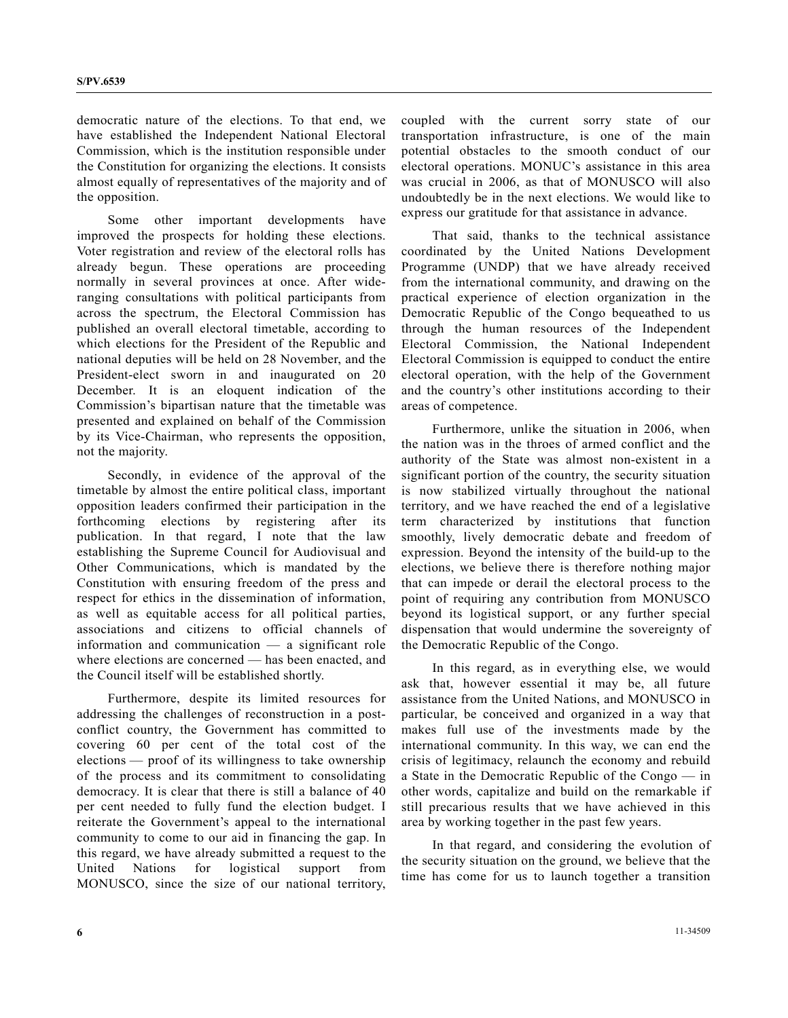democratic nature of the elections. To that end, we have established the Independent National Electoral Commission, which is the institution responsible under the Constitution for organizing the elections. It consists almost equally of representatives of the majority and of the opposition.

 Some other important developments have improved the prospects for holding these elections. Voter registration and review of the electoral rolls has already begun. These operations are proceeding normally in several provinces at once. After wideranging consultations with political participants from across the spectrum, the Electoral Commission has published an overall electoral timetable, according to which elections for the President of the Republic and national deputies will be held on 28 November, and the President-elect sworn in and inaugurated on 20 December. It is an eloquent indication of the Commission's bipartisan nature that the timetable was presented and explained on behalf of the Commission by its Vice-Chairman, who represents the opposition, not the majority.

 Secondly, in evidence of the approval of the timetable by almost the entire political class, important opposition leaders confirmed their participation in the forthcoming elections by registering after its publication. In that regard, I note that the law establishing the Supreme Council for Audiovisual and Other Communications, which is mandated by the Constitution with ensuring freedom of the press and respect for ethics in the dissemination of information, as well as equitable access for all political parties, associations and citizens to official channels of information and communication — a significant role where elections are concerned — has been enacted, and the Council itself will be established shortly.

 Furthermore, despite its limited resources for addressing the challenges of reconstruction in a postconflict country, the Government has committed to covering 60 per cent of the total cost of the elections — proof of its willingness to take ownership of the process and its commitment to consolidating democracy. It is clear that there is still a balance of 40 per cent needed to fully fund the election budget. I reiterate the Government's appeal to the international community to come to our aid in financing the gap. In this regard, we have already submitted a request to the United Nations for logistical support from MONUSCO, since the size of our national territory, coupled with the current sorry state of our transportation infrastructure, is one of the main potential obstacles to the smooth conduct of our electoral operations. MONUC's assistance in this area was crucial in 2006, as that of MONUSCO will also undoubtedly be in the next elections. We would like to express our gratitude for that assistance in advance.

 That said, thanks to the technical assistance coordinated by the United Nations Development Programme (UNDP) that we have already received from the international community, and drawing on the practical experience of election organization in the Democratic Republic of the Congo bequeathed to us through the human resources of the Independent Electoral Commission, the National Independent Electoral Commission is equipped to conduct the entire electoral operation, with the help of the Government and the country's other institutions according to their areas of competence.

 Furthermore, unlike the situation in 2006, when the nation was in the throes of armed conflict and the authority of the State was almost non-existent in a significant portion of the country, the security situation is now stabilized virtually throughout the national territory, and we have reached the end of a legislative term characterized by institutions that function smoothly, lively democratic debate and freedom of expression. Beyond the intensity of the build-up to the elections, we believe there is therefore nothing major that can impede or derail the electoral process to the point of requiring any contribution from MONUSCO beyond its logistical support, or any further special dispensation that would undermine the sovereignty of the Democratic Republic of the Congo.

 In this regard, as in everything else, we would ask that, however essential it may be, all future assistance from the United Nations, and MONUSCO in particular, be conceived and organized in a way that makes full use of the investments made by the international community. In this way, we can end the crisis of legitimacy, relaunch the economy and rebuild a State in the Democratic Republic of the Congo — in other words, capitalize and build on the remarkable if still precarious results that we have achieved in this area by working together in the past few years.

 In that regard, and considering the evolution of the security situation on the ground, we believe that the time has come for us to launch together a transition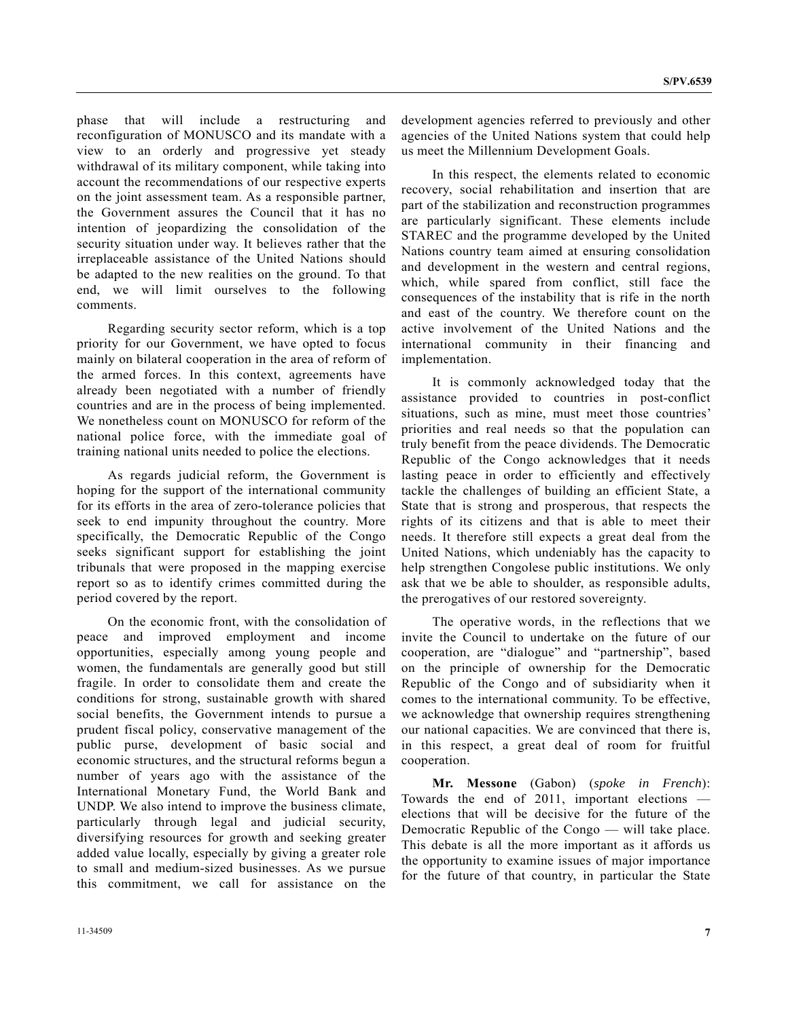phase that will include a restructuring and reconfiguration of MONUSCO and its mandate with a view to an orderly and progressive yet steady withdrawal of its military component, while taking into account the recommendations of our respective experts on the joint assessment team. As a responsible partner, the Government assures the Council that it has no intention of jeopardizing the consolidation of the security situation under way. It believes rather that the irreplaceable assistance of the United Nations should be adapted to the new realities on the ground. To that end, we will limit ourselves to the following comments.

 Regarding security sector reform, which is a top priority for our Government, we have opted to focus mainly on bilateral cooperation in the area of reform of the armed forces. In this context, agreements have already been negotiated with a number of friendly countries and are in the process of being implemented. We nonetheless count on MONUSCO for reform of the national police force, with the immediate goal of training national units needed to police the elections.

 As regards judicial reform, the Government is hoping for the support of the international community for its efforts in the area of zero-tolerance policies that seek to end impunity throughout the country. More specifically, the Democratic Republic of the Congo seeks significant support for establishing the joint tribunals that were proposed in the mapping exercise report so as to identify crimes committed during the period covered by the report.

 On the economic front, with the consolidation of peace and improved employment and income opportunities, especially among young people and women, the fundamentals are generally good but still fragile. In order to consolidate them and create the conditions for strong, sustainable growth with shared social benefits, the Government intends to pursue a prudent fiscal policy, conservative management of the public purse, development of basic social and economic structures, and the structural reforms begun a number of years ago with the assistance of the International Monetary Fund, the World Bank and UNDP. We also intend to improve the business climate, particularly through legal and judicial security, diversifying resources for growth and seeking greater added value locally, especially by giving a greater role to small and medium-sized businesses. As we pursue this commitment, we call for assistance on the

development agencies referred to previously and other agencies of the United Nations system that could help us meet the Millennium Development Goals.

 In this respect, the elements related to economic recovery, social rehabilitation and insertion that are part of the stabilization and reconstruction programmes are particularly significant. These elements include STAREC and the programme developed by the United Nations country team aimed at ensuring consolidation and development in the western and central regions, which, while spared from conflict, still face the consequences of the instability that is rife in the north and east of the country. We therefore count on the active involvement of the United Nations and the international community in their financing and implementation.

 It is commonly acknowledged today that the assistance provided to countries in post-conflict situations, such as mine, must meet those countries' priorities and real needs so that the population can truly benefit from the peace dividends. The Democratic Republic of the Congo acknowledges that it needs lasting peace in order to efficiently and effectively tackle the challenges of building an efficient State, a State that is strong and prosperous, that respects the rights of its citizens and that is able to meet their needs. It therefore still expects a great deal from the United Nations, which undeniably has the capacity to help strengthen Congolese public institutions. We only ask that we be able to shoulder, as responsible adults, the prerogatives of our restored sovereignty.

 The operative words, in the reflections that we invite the Council to undertake on the future of our cooperation, are "dialogue" and "partnership", based on the principle of ownership for the Democratic Republic of the Congo and of subsidiarity when it comes to the international community. To be effective, we acknowledge that ownership requires strengthening our national capacities. We are convinced that there is, in this respect, a great deal of room for fruitful cooperation.

**Mr. Messone** (Gabon) (*spoke in French*): Towards the end of 2011, important elections elections that will be decisive for the future of the Democratic Republic of the Congo — will take place. This debate is all the more important as it affords us the opportunity to examine issues of major importance for the future of that country, in particular the State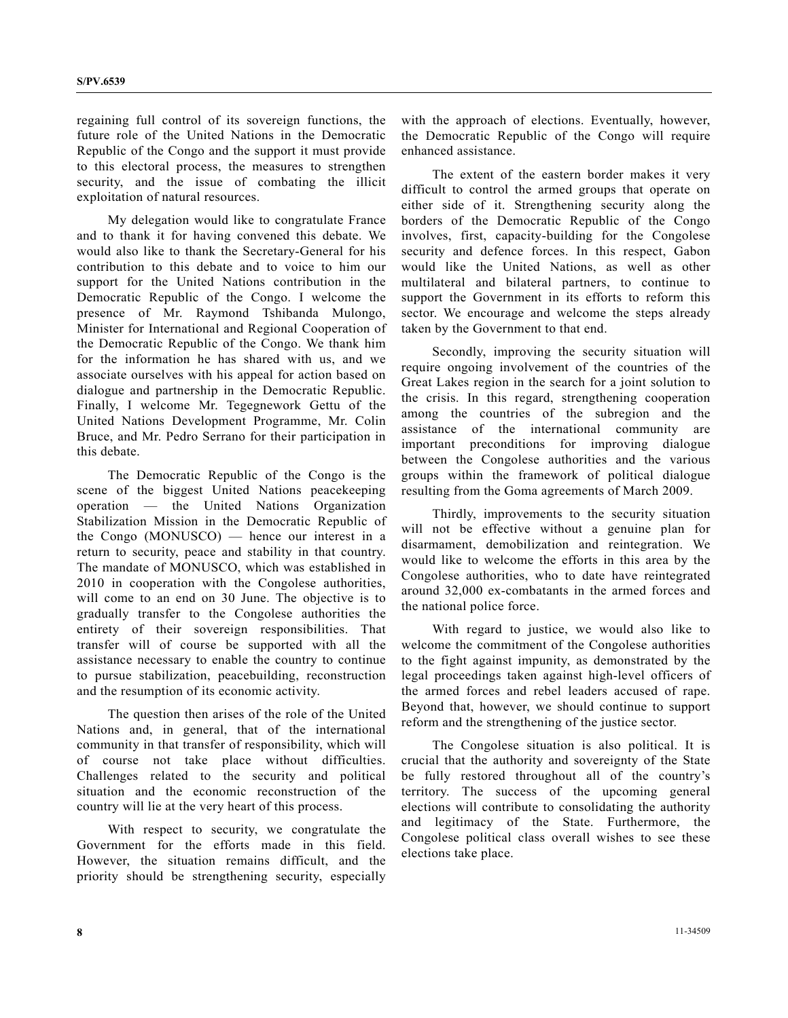regaining full control of its sovereign functions, the future role of the United Nations in the Democratic Republic of the Congo and the support it must provide to this electoral process, the measures to strengthen security, and the issue of combating the illicit exploitation of natural resources.

 My delegation would like to congratulate France and to thank it for having convened this debate. We would also like to thank the Secretary-General for his contribution to this debate and to voice to him our support for the United Nations contribution in the Democratic Republic of the Congo. I welcome the presence of Mr. Raymond Tshibanda Mulongo, Minister for International and Regional Cooperation of the Democratic Republic of the Congo. We thank him for the information he has shared with us, and we associate ourselves with his appeal for action based on dialogue and partnership in the Democratic Republic. Finally, I welcome Mr. Tegegnework Gettu of the United Nations Development Programme, Mr. Colin Bruce, and Mr. Pedro Serrano for their participation in this debate.

 The Democratic Republic of the Congo is the scene of the biggest United Nations peacekeeping operation — the United Nations Organization Stabilization Mission in the Democratic Republic of the Congo (MONUSCO) — hence our interest in a return to security, peace and stability in that country. The mandate of MONUSCO, which was established in 2010 in cooperation with the Congolese authorities, will come to an end on 30 June. The objective is to gradually transfer to the Congolese authorities the entirety of their sovereign responsibilities. That transfer will of course be supported with all the assistance necessary to enable the country to continue to pursue stabilization, peacebuilding, reconstruction and the resumption of its economic activity.

 The question then arises of the role of the United Nations and, in general, that of the international community in that transfer of responsibility, which will of course not take place without difficulties. Challenges related to the security and political situation and the economic reconstruction of the country will lie at the very heart of this process.

 With respect to security, we congratulate the Government for the efforts made in this field. However, the situation remains difficult, and the priority should be strengthening security, especially with the approach of elections. Eventually, however, the Democratic Republic of the Congo will require enhanced assistance.

 The extent of the eastern border makes it very difficult to control the armed groups that operate on either side of it. Strengthening security along the borders of the Democratic Republic of the Congo involves, first, capacity-building for the Congolese security and defence forces. In this respect, Gabon would like the United Nations, as well as other multilateral and bilateral partners, to continue to support the Government in its efforts to reform this sector. We encourage and welcome the steps already taken by the Government to that end.

 Secondly, improving the security situation will require ongoing involvement of the countries of the Great Lakes region in the search for a joint solution to the crisis. In this regard, strengthening cooperation among the countries of the subregion and the assistance of the international community are important preconditions for improving dialogue between the Congolese authorities and the various groups within the framework of political dialogue resulting from the Goma agreements of March 2009.

 Thirdly, improvements to the security situation will not be effective without a genuine plan for disarmament, demobilization and reintegration. We would like to welcome the efforts in this area by the Congolese authorities, who to date have reintegrated around 32,000 ex-combatants in the armed forces and the national police force.

 With regard to justice, we would also like to welcome the commitment of the Congolese authorities to the fight against impunity, as demonstrated by the legal proceedings taken against high-level officers of the armed forces and rebel leaders accused of rape. Beyond that, however, we should continue to support reform and the strengthening of the justice sector.

 The Congolese situation is also political. It is crucial that the authority and sovereignty of the State be fully restored throughout all of the country's territory. The success of the upcoming general elections will contribute to consolidating the authority and legitimacy of the State. Furthermore, the Congolese political class overall wishes to see these elections take place.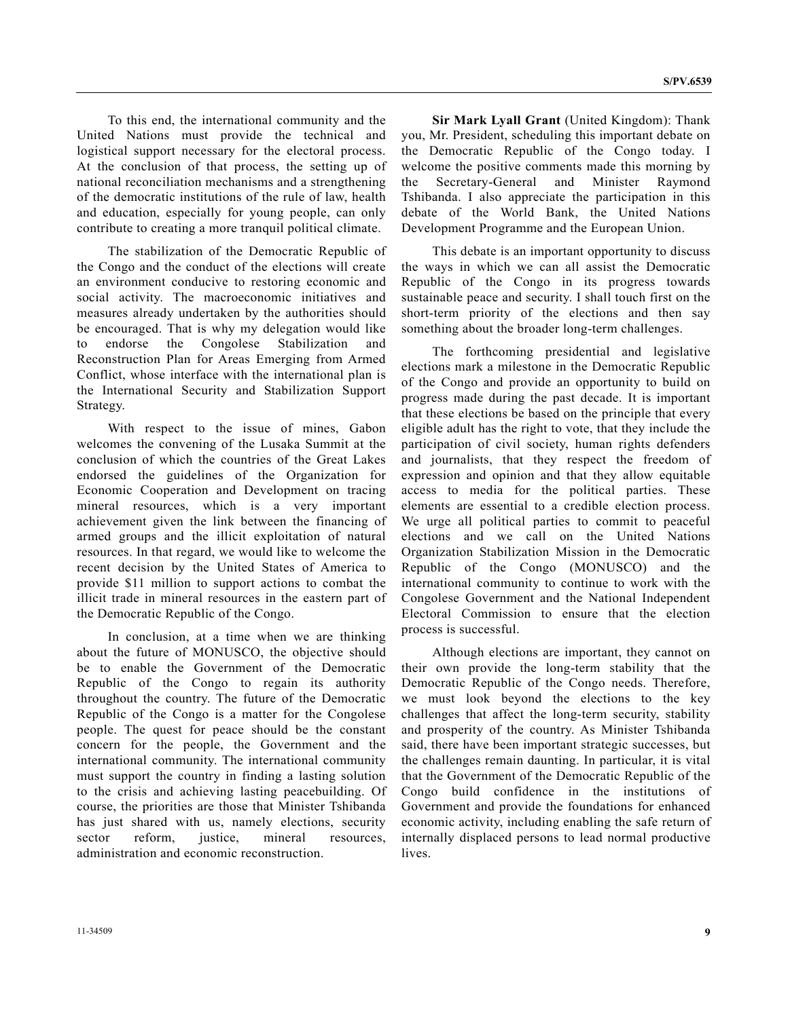To this end, the international community and the United Nations must provide the technical and logistical support necessary for the electoral process. At the conclusion of that process, the setting up of national reconciliation mechanisms and a strengthening of the democratic institutions of the rule of law, health and education, especially for young people, can only contribute to creating a more tranquil political climate.

 The stabilization of the Democratic Republic of the Congo and the conduct of the elections will create an environment conducive to restoring economic and social activity. The macroeconomic initiatives and measures already undertaken by the authorities should be encouraged. That is why my delegation would like to endorse the Congolese Stabilization and Reconstruction Plan for Areas Emerging from Armed Conflict, whose interface with the international plan is the International Security and Stabilization Support Strategy.

 With respect to the issue of mines, Gabon welcomes the convening of the Lusaka Summit at the conclusion of which the countries of the Great Lakes endorsed the guidelines of the Organization for Economic Cooperation and Development on tracing mineral resources, which is a very important achievement given the link between the financing of armed groups and the illicit exploitation of natural resources. In that regard, we would like to welcome the recent decision by the United States of America to provide \$11 million to support actions to combat the illicit trade in mineral resources in the eastern part of the Democratic Republic of the Congo.

 In conclusion, at a time when we are thinking about the future of MONUSCO, the objective should be to enable the Government of the Democratic Republic of the Congo to regain its authority throughout the country. The future of the Democratic Republic of the Congo is a matter for the Congolese people. The quest for peace should be the constant concern for the people, the Government and the international community. The international community must support the country in finding a lasting solution to the crisis and achieving lasting peacebuilding. Of course, the priorities are those that Minister Tshibanda has just shared with us, namely elections, security sector reform, justice, mineral resources, administration and economic reconstruction.

**Sir Mark Lyall Grant** (United Kingdom): Thank you, Mr. President, scheduling this important debate on the Democratic Republic of the Congo today. I welcome the positive comments made this morning by the Secretary-General and Minister Raymond Tshibanda. I also appreciate the participation in this debate of the World Bank, the United Nations Development Programme and the European Union.

 This debate is an important opportunity to discuss the ways in which we can all assist the Democratic Republic of the Congo in its progress towards sustainable peace and security. I shall touch first on the short-term priority of the elections and then say something about the broader long-term challenges.

 The forthcoming presidential and legislative elections mark a milestone in the Democratic Republic of the Congo and provide an opportunity to build on progress made during the past decade. It is important that these elections be based on the principle that every eligible adult has the right to vote, that they include the participation of civil society, human rights defenders and journalists, that they respect the freedom of expression and opinion and that they allow equitable access to media for the political parties. These elements are essential to a credible election process. We urge all political parties to commit to peaceful elections and we call on the United Nations Organization Stabilization Mission in the Democratic Republic of the Congo (MONUSCO) and the international community to continue to work with the Congolese Government and the National Independent Electoral Commission to ensure that the election process is successful.

 Although elections are important, they cannot on their own provide the long-term stability that the Democratic Republic of the Congo needs. Therefore, we must look beyond the elections to the key challenges that affect the long-term security, stability and prosperity of the country. As Minister Tshibanda said, there have been important strategic successes, but the challenges remain daunting. In particular, it is vital that the Government of the Democratic Republic of the Congo build confidence in the institutions of Government and provide the foundations for enhanced economic activity, including enabling the safe return of internally displaced persons to lead normal productive lives.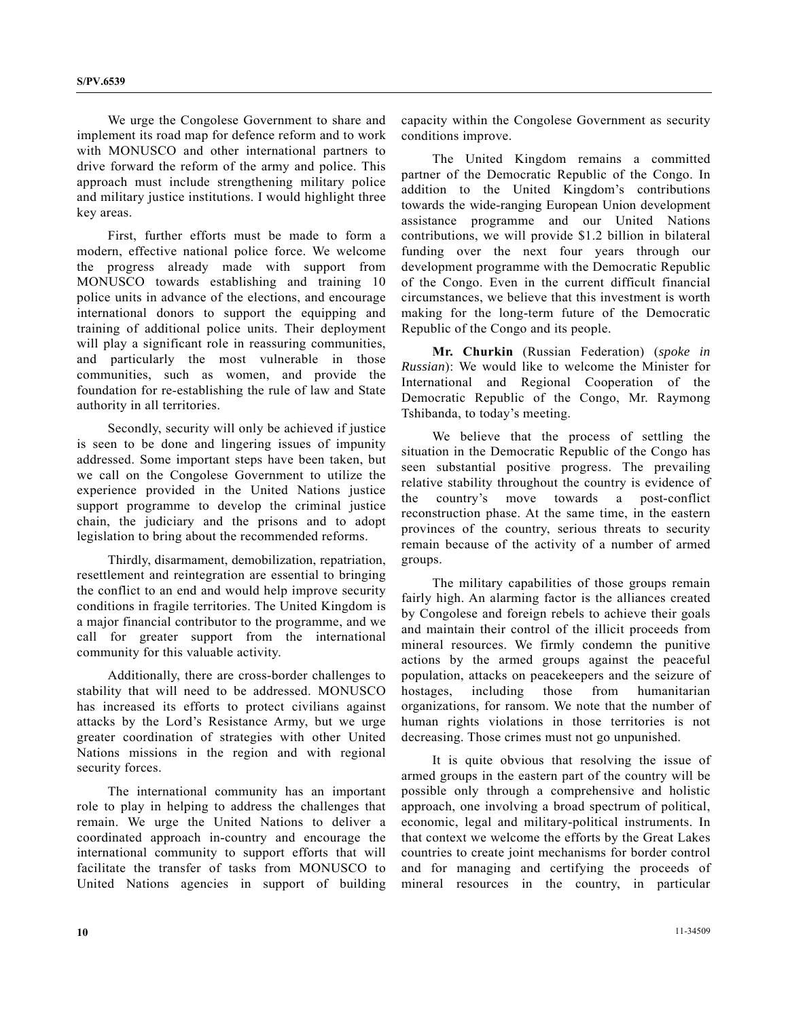We urge the Congolese Government to share and implement its road map for defence reform and to work with MONUSCO and other international partners to drive forward the reform of the army and police. This approach must include strengthening military police and military justice institutions. I would highlight three key areas.

 First, further efforts must be made to form a modern, effective national police force. We welcome the progress already made with support from MONUSCO towards establishing and training 10 police units in advance of the elections, and encourage international donors to support the equipping and training of additional police units. Their deployment will play a significant role in reassuring communities, and particularly the most vulnerable in those communities, such as women, and provide the foundation for re-establishing the rule of law and State authority in all territories.

 Secondly, security will only be achieved if justice is seen to be done and lingering issues of impunity addressed. Some important steps have been taken, but we call on the Congolese Government to utilize the experience provided in the United Nations justice support programme to develop the criminal justice chain, the judiciary and the prisons and to adopt legislation to bring about the recommended reforms.

 Thirdly, disarmament, demobilization, repatriation, resettlement and reintegration are essential to bringing the conflict to an end and would help improve security conditions in fragile territories. The United Kingdom is a major financial contributor to the programme, and we call for greater support from the international community for this valuable activity.

 Additionally, there are cross-border challenges to stability that will need to be addressed. MONUSCO has increased its efforts to protect civilians against attacks by the Lord's Resistance Army, but we urge greater coordination of strategies with other United Nations missions in the region and with regional security forces.

 The international community has an important role to play in helping to address the challenges that remain. We urge the United Nations to deliver a coordinated approach in-country and encourage the international community to support efforts that will facilitate the transfer of tasks from MONUSCO to United Nations agencies in support of building capacity within the Congolese Government as security conditions improve.

 The United Kingdom remains a committed partner of the Democratic Republic of the Congo. In addition to the United Kingdom's contributions towards the wide-ranging European Union development assistance programme and our United Nations contributions, we will provide \$1.2 billion in bilateral funding over the next four years through our development programme with the Democratic Republic of the Congo. Even in the current difficult financial circumstances, we believe that this investment is worth making for the long-term future of the Democratic Republic of the Congo and its people.

**Mr. Churkin** (Russian Federation) (*spoke in Russian*): We would like to welcome the Minister for International and Regional Cooperation of the Democratic Republic of the Congo, Mr. Raymong Tshibanda, to today's meeting.

 We believe that the process of settling the situation in the Democratic Republic of the Congo has seen substantial positive progress. The prevailing relative stability throughout the country is evidence of the country's move towards a post-conflict reconstruction phase. At the same time, in the eastern provinces of the country, serious threats to security remain because of the activity of a number of armed groups.

 The military capabilities of those groups remain fairly high. An alarming factor is the alliances created by Congolese and foreign rebels to achieve their goals and maintain their control of the illicit proceeds from mineral resources. We firmly condemn the punitive actions by the armed groups against the peaceful population, attacks on peacekeepers and the seizure of hostages, including those from humanitarian organizations, for ransom. We note that the number of human rights violations in those territories is not decreasing. Those crimes must not go unpunished.

 It is quite obvious that resolving the issue of armed groups in the eastern part of the country will be possible only through a comprehensive and holistic approach, one involving a broad spectrum of political, economic, legal and military-political instruments. In that context we welcome the efforts by the Great Lakes countries to create joint mechanisms for border control and for managing and certifying the proceeds of mineral resources in the country, in particular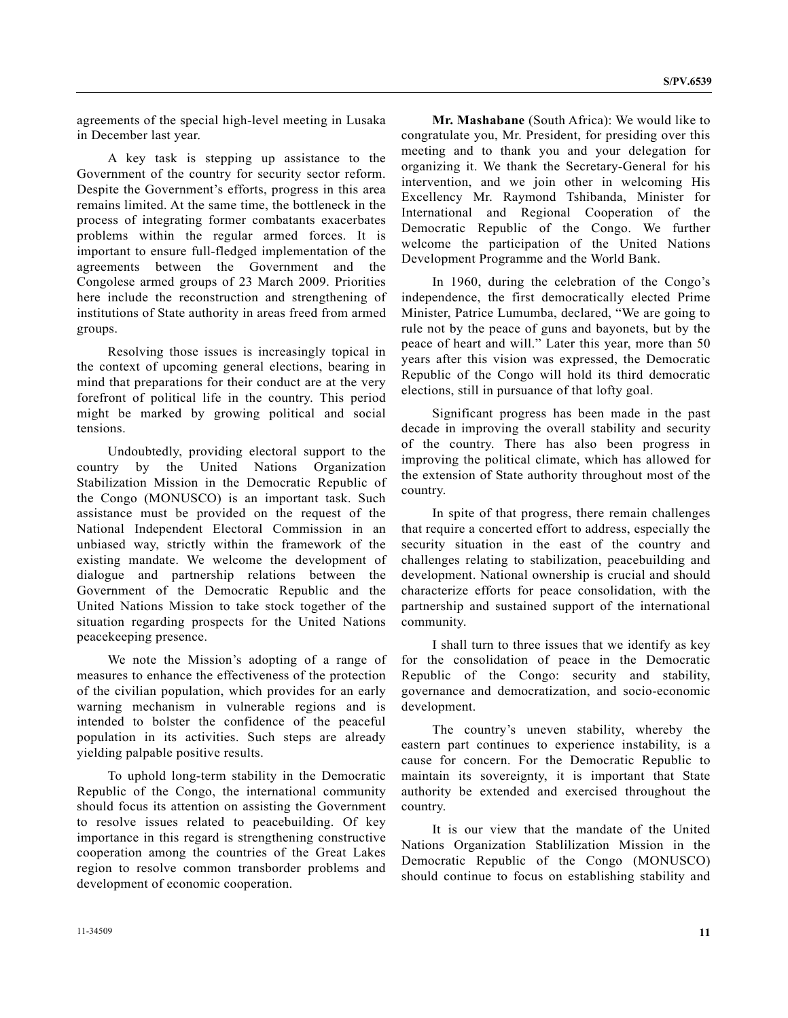agreements of the special high-level meeting in Lusaka in December last year.

 A key task is stepping up assistance to the Government of the country for security sector reform. Despite the Government's efforts, progress in this area remains limited. At the same time, the bottleneck in the process of integrating former combatants exacerbates problems within the regular armed forces. It is important to ensure full-fledged implementation of the agreements between the Government and the Congolese armed groups of 23 March 2009. Priorities here include the reconstruction and strengthening of institutions of State authority in areas freed from armed groups.

 Resolving those issues is increasingly topical in the context of upcoming general elections, bearing in mind that preparations for their conduct are at the very forefront of political life in the country. This period might be marked by growing political and social tensions.

 Undoubtedly, providing electoral support to the country by the United Nations Organization Stabilization Mission in the Democratic Republic of the Congo (MONUSCO) is an important task. Such assistance must be provided on the request of the National Independent Electoral Commission in an unbiased way, strictly within the framework of the existing mandate. We welcome the development of dialogue and partnership relations between the Government of the Democratic Republic and the United Nations Mission to take stock together of the situation regarding prospects for the United Nations peacekeeping presence.

 We note the Mission's adopting of a range of measures to enhance the effectiveness of the protection of the civilian population, which provides for an early warning mechanism in vulnerable regions and is intended to bolster the confidence of the peaceful population in its activities. Such steps are already yielding palpable positive results.

 To uphold long-term stability in the Democratic Republic of the Congo, the international community should focus its attention on assisting the Government to resolve issues related to peacebuilding. Of key importance in this regard is strengthening constructive cooperation among the countries of the Great Lakes region to resolve common transborder problems and development of economic cooperation.

**Mr. Mashabane** (South Africa): We would like to congratulate you, Mr. President, for presiding over this meeting and to thank you and your delegation for organizing it. We thank the Secretary-General for his intervention, and we join other in welcoming His Excellency Mr. Raymond Tshibanda, Minister for International and Regional Cooperation of the Democratic Republic of the Congo. We further welcome the participation of the United Nations Development Programme and the World Bank.

 In 1960, during the celebration of the Congo's independence, the first democratically elected Prime Minister, Patrice Lumumba, declared, "We are going to rule not by the peace of guns and bayonets, but by the peace of heart and will." Later this year, more than 50 years after this vision was expressed, the Democratic Republic of the Congo will hold its third democratic elections, still in pursuance of that lofty goal.

 Significant progress has been made in the past decade in improving the overall stability and security of the country. There has also been progress in improving the political climate, which has allowed for the extension of State authority throughout most of the country.

 In spite of that progress, there remain challenges that require a concerted effort to address, especially the security situation in the east of the country and challenges relating to stabilization, peacebuilding and development. National ownership is crucial and should characterize efforts for peace consolidation, with the partnership and sustained support of the international community.

 I shall turn to three issues that we identify as key for the consolidation of peace in the Democratic Republic of the Congo: security and stability, governance and democratization, and socio-economic development.

 The country's uneven stability, whereby the eastern part continues to experience instability, is a cause for concern. For the Democratic Republic to maintain its sovereignty, it is important that State authority be extended and exercised throughout the country.

 It is our view that the mandate of the United Nations Organization Stablilization Mission in the Democratic Republic of the Congo (MONUSCO) should continue to focus on establishing stability and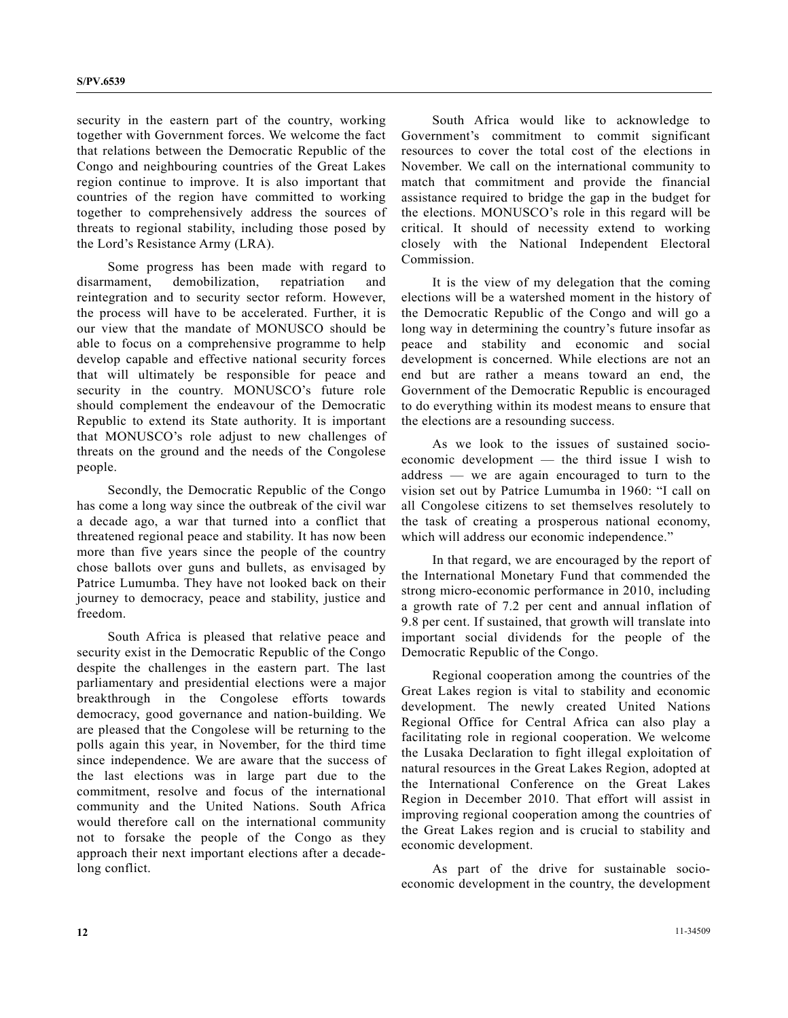security in the eastern part of the country, working together with Government forces. We welcome the fact that relations between the Democratic Republic of the Congo and neighbouring countries of the Great Lakes region continue to improve. It is also important that countries of the region have committed to working together to comprehensively address the sources of threats to regional stability, including those posed by the Lord's Resistance Army (LRA).

 Some progress has been made with regard to disarmament, demobilization, repatriation and reintegration and to security sector reform. However, the process will have to be accelerated. Further, it is our view that the mandate of MONUSCO should be able to focus on a comprehensive programme to help develop capable and effective national security forces that will ultimately be responsible for peace and security in the country. MONUSCO's future role should complement the endeavour of the Democratic Republic to extend its State authority. It is important that MONUSCO's role adjust to new challenges of threats on the ground and the needs of the Congolese people.

 Secondly, the Democratic Republic of the Congo has come a long way since the outbreak of the civil war a decade ago, a war that turned into a conflict that threatened regional peace and stability. It has now been more than five years since the people of the country chose ballots over guns and bullets, as envisaged by Patrice Lumumba. They have not looked back on their journey to democracy, peace and stability, justice and freedom.

 South Africa is pleased that relative peace and security exist in the Democratic Republic of the Congo despite the challenges in the eastern part. The last parliamentary and presidential elections were a major breakthrough in the Congolese efforts towards democracy, good governance and nation-building. We are pleased that the Congolese will be returning to the polls again this year, in November, for the third time since independence. We are aware that the success of the last elections was in large part due to the commitment, resolve and focus of the international community and the United Nations. South Africa would therefore call on the international community not to forsake the people of the Congo as they approach their next important elections after a decadelong conflict.

 South Africa would like to acknowledge to Government's commitment to commit significant resources to cover the total cost of the elections in November. We call on the international community to match that commitment and provide the financial assistance required to bridge the gap in the budget for the elections. MONUSCO's role in this regard will be critical. It should of necessity extend to working closely with the National Independent Electoral Commission.

 It is the view of my delegation that the coming elections will be a watershed moment in the history of the Democratic Republic of the Congo and will go a long way in determining the country's future insofar as peace and stability and economic and social development is concerned. While elections are not an end but are rather a means toward an end, the Government of the Democratic Republic is encouraged to do everything within its modest means to ensure that the elections are a resounding success.

 As we look to the issues of sustained socioeconomic development — the third issue I wish to address — we are again encouraged to turn to the vision set out by Patrice Lumumba in 1960: "I call on all Congolese citizens to set themselves resolutely to the task of creating a prosperous national economy, which will address our economic independence."

 In that regard, we are encouraged by the report of the International Monetary Fund that commended the strong micro-economic performance in 2010, including a growth rate of 7.2 per cent and annual inflation of 9.8 per cent. If sustained, that growth will translate into important social dividends for the people of the Democratic Republic of the Congo.

 Regional cooperation among the countries of the Great Lakes region is vital to stability and economic development. The newly created United Nations Regional Office for Central Africa can also play a facilitating role in regional cooperation. We welcome the Lusaka Declaration to fight illegal exploitation of natural resources in the Great Lakes Region, adopted at the International Conference on the Great Lakes Region in December 2010. That effort will assist in improving regional cooperation among the countries of the Great Lakes region and is crucial to stability and economic development.

 As part of the drive for sustainable socioeconomic development in the country, the development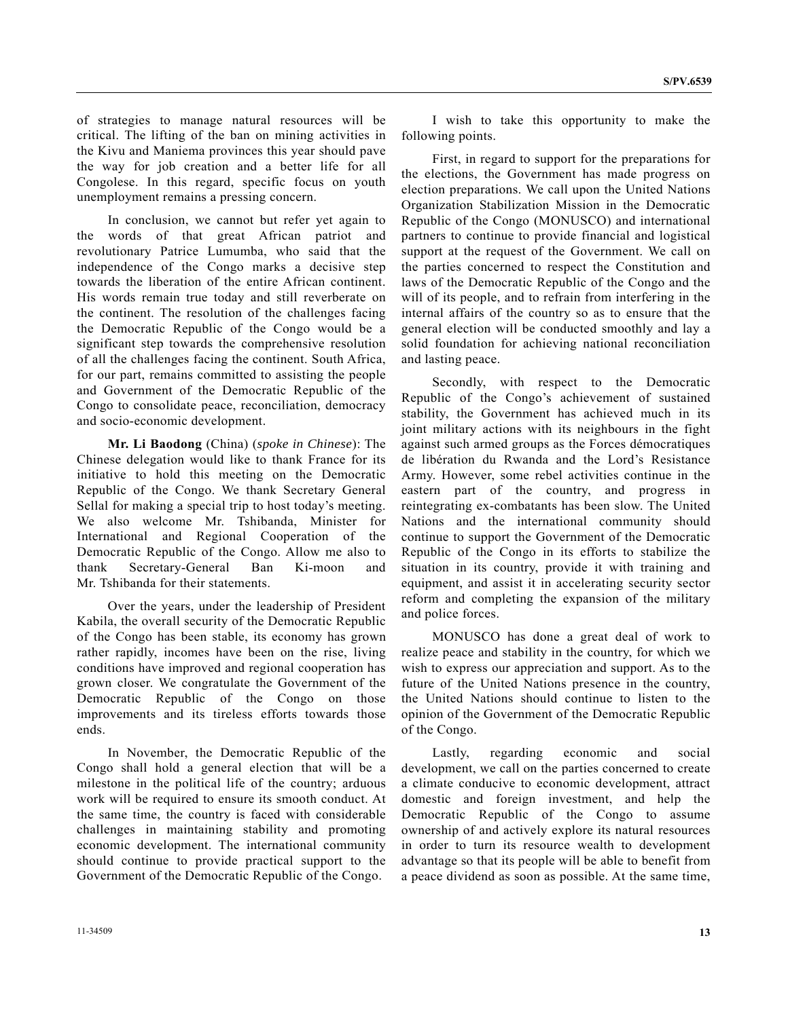**S/PV.6539**

of strategies to manage natural resources will be critical. The lifting of the ban on mining activities in the Kivu and Maniema provinces this year should pave the way for job creation and a better life for all Congolese. In this regard, specific focus on youth unemployment remains a pressing concern.

 In conclusion, we cannot but refer yet again to the words of that great African patriot and revolutionary Patrice Lumumba, who said that the independence of the Congo marks a decisive step towards the liberation of the entire African continent. His words remain true today and still reverberate on the continent. The resolution of the challenges facing the Democratic Republic of the Congo would be a significant step towards the comprehensive resolution of all the challenges facing the continent. South Africa, for our part, remains committed to assisting the people and Government of the Democratic Republic of the Congo to consolidate peace, reconciliation, democracy and socio-economic development.

**Mr. Li Baodong** (China) (*spoke in Chinese*): The Chinese delegation would like to thank France for its initiative to hold this meeting on the Democratic Republic of the Congo. We thank Secretary General Sellal for making a special trip to host today's meeting. We also welcome Mr. Tshibanda, Minister for International and Regional Cooperation of the Democratic Republic of the Congo. Allow me also to thank Secretary-General Ban Ki-moon and Mr. Tshibanda for their statements.

 Over the years, under the leadership of President Kabila, the overall security of the Democratic Republic of the Congo has been stable, its economy has grown rather rapidly, incomes have been on the rise, living conditions have improved and regional cooperation has grown closer. We congratulate the Government of the Democratic Republic of the Congo on those improvements and its tireless efforts towards those ends.

 In November, the Democratic Republic of the Congo shall hold a general election that will be a milestone in the political life of the country; arduous work will be required to ensure its smooth conduct. At the same time, the country is faced with considerable challenges in maintaining stability and promoting economic development. The international community should continue to provide practical support to the Government of the Democratic Republic of the Congo.

 I wish to take this opportunity to make the following points.

 First, in regard to support for the preparations for the elections, the Government has made progress on election preparations. We call upon the United Nations Organization Stabilization Mission in the Democratic Republic of the Congo (MONUSCO) and international partners to continue to provide financial and logistical support at the request of the Government. We call on the parties concerned to respect the Constitution and laws of the Democratic Republic of the Congo and the will of its people, and to refrain from interfering in the internal affairs of the country so as to ensure that the general election will be conducted smoothly and lay a solid foundation for achieving national reconciliation and lasting peace.

 Secondly, with respect to the Democratic Republic of the Congo's achievement of sustained stability, the Government has achieved much in its joint military actions with its neighbours in the fight against such armed groups as the Forces démocratiques de libération du Rwanda and the Lord's Resistance Army. However, some rebel activities continue in the eastern part of the country, and progress in reintegrating ex-combatants has been slow. The United Nations and the international community should continue to support the Government of the Democratic Republic of the Congo in its efforts to stabilize the situation in its country, provide it with training and equipment, and assist it in accelerating security sector reform and completing the expansion of the military and police forces.

 MONUSCO has done a great deal of work to realize peace and stability in the country, for which we wish to express our appreciation and support. As to the future of the United Nations presence in the country, the United Nations should continue to listen to the opinion of the Government of the Democratic Republic of the Congo.

 Lastly, regarding economic and social development, we call on the parties concerned to create a climate conducive to economic development, attract domestic and foreign investment, and help the Democratic Republic of the Congo to assume ownership of and actively explore its natural resources in order to turn its resource wealth to development advantage so that its people will be able to benefit from a peace dividend as soon as possible. At the same time,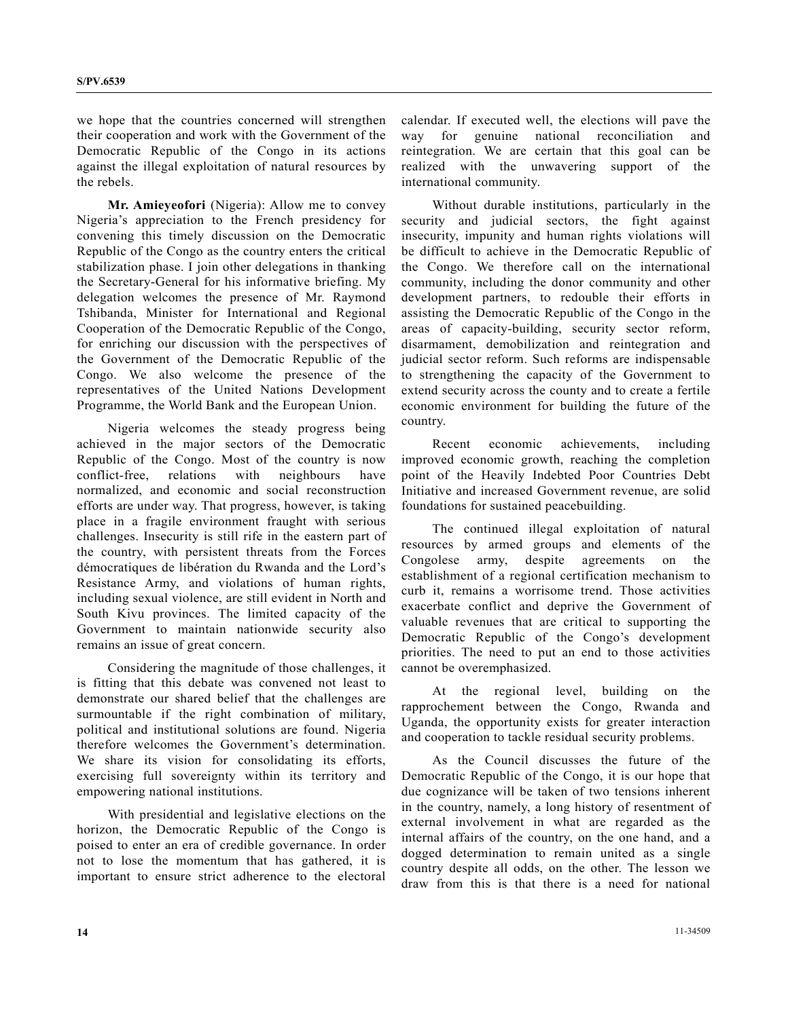we hope that the countries concerned will strengthen their cooperation and work with the Government of the Democratic Republic of the Congo in its actions against the illegal exploitation of natural resources by the rebels.

**Mr. Amieyeofori** (Nigeria): Allow me to convey Nigeria's appreciation to the French presidency for convening this timely discussion on the Democratic Republic of the Congo as the country enters the critical stabilization phase. I join other delegations in thanking the Secretary-General for his informative briefing. My delegation welcomes the presence of Mr. Raymond Tshibanda, Minister for International and Regional Cooperation of the Democratic Republic of the Congo, for enriching our discussion with the perspectives of the Government of the Democratic Republic of the Congo. We also welcome the presence of the representatives of the United Nations Development Programme, the World Bank and the European Union.

 Nigeria welcomes the steady progress being achieved in the major sectors of the Democratic Republic of the Congo. Most of the country is now conflict-free, relations with neighbours have normalized, and economic and social reconstruction efforts are under way. That progress, however, is taking place in a fragile environment fraught with serious challenges. Insecurity is still rife in the eastern part of the country, with persistent threats from the Forces démocratiques de libération du Rwanda and the Lord's Resistance Army, and violations of human rights, including sexual violence, are still evident in North and South Kivu provinces. The limited capacity of the Government to maintain nationwide security also remains an issue of great concern.

 Considering the magnitude of those challenges, it is fitting that this debate was convened not least to demonstrate our shared belief that the challenges are surmountable if the right combination of military, political and institutional solutions are found. Nigeria therefore welcomes the Government's determination. We share its vision for consolidating its efforts, exercising full sovereignty within its territory and empowering national institutions.

 With presidential and legislative elections on the horizon, the Democratic Republic of the Congo is poised to enter an era of credible governance. In order not to lose the momentum that has gathered, it is important to ensure strict adherence to the electoral

calendar. If executed well, the elections will pave the way for genuine national reconciliation and reintegration. We are certain that this goal can be realized with the unwavering support of the international community.

 Without durable institutions, particularly in the security and judicial sectors, the fight against insecurity, impunity and human rights violations will be difficult to achieve in the Democratic Republic of the Congo. We therefore call on the international community, including the donor community and other development partners, to redouble their efforts in assisting the Democratic Republic of the Congo in the areas of capacity-building, security sector reform, disarmament, demobilization and reintegration and judicial sector reform. Such reforms are indispensable to strengthening the capacity of the Government to extend security across the county and to create a fertile economic environment for building the future of the country.

 Recent economic achievements, including improved economic growth, reaching the completion point of the Heavily Indebted Poor Countries Debt Initiative and increased Government revenue, are solid foundations for sustained peacebuilding.

 The continued illegal exploitation of natural resources by armed groups and elements of the Congolese army, despite agreements on the establishment of a regional certification mechanism to curb it, remains a worrisome trend. Those activities exacerbate conflict and deprive the Government of valuable revenues that are critical to supporting the Democratic Republic of the Congo's development priorities. The need to put an end to those activities cannot be overemphasized.

 At the regional level, building on the rapprochement between the Congo, Rwanda and Uganda, the opportunity exists for greater interaction and cooperation to tackle residual security problems.

 As the Council discusses the future of the Democratic Republic of the Congo, it is our hope that due cognizance will be taken of two tensions inherent in the country, namely, a long history of resentment of external involvement in what are regarded as the internal affairs of the country, on the one hand, and a dogged determination to remain united as a single country despite all odds, on the other. The lesson we draw from this is that there is a need for national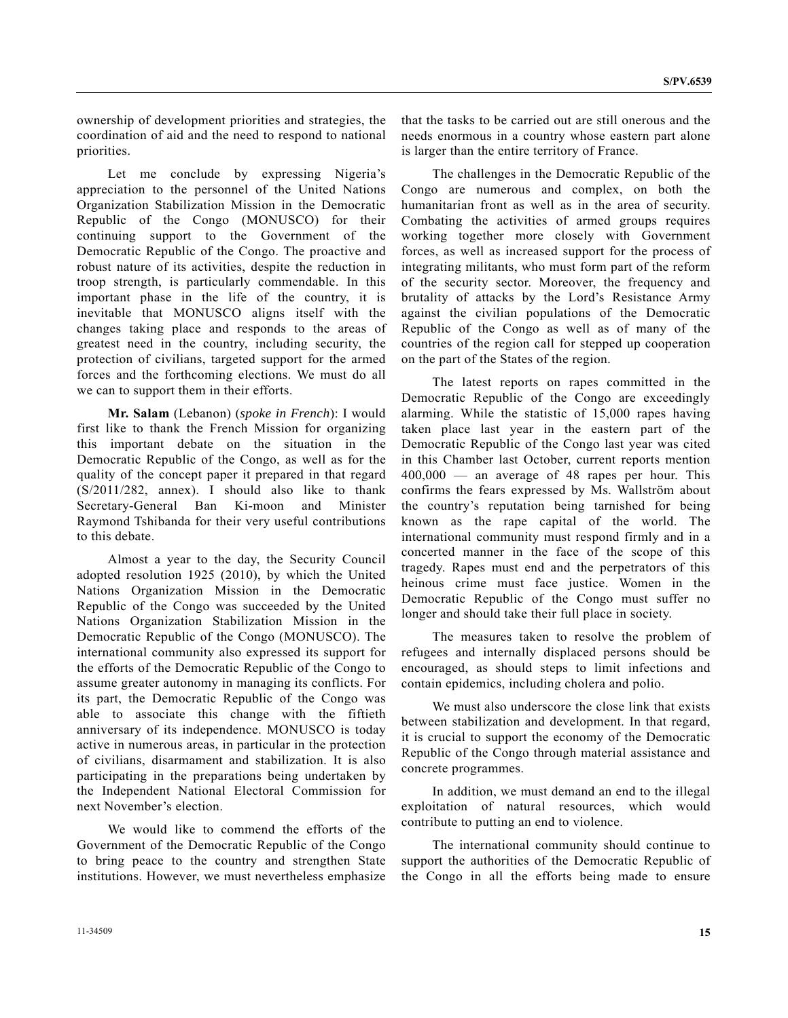ownership of development priorities and strategies, the coordination of aid and the need to respond to national priorities.

 Let me conclude by expressing Nigeria's appreciation to the personnel of the United Nations Organization Stabilization Mission in the Democratic Republic of the Congo (MONUSCO) for their continuing support to the Government of the Democratic Republic of the Congo. The proactive and robust nature of its activities, despite the reduction in troop strength, is particularly commendable. In this important phase in the life of the country, it is inevitable that MONUSCO aligns itself with the changes taking place and responds to the areas of greatest need in the country, including security, the protection of civilians, targeted support for the armed forces and the forthcoming elections. We must do all we can to support them in their efforts.

**Mr. Salam** (Lebanon) (*spoke in French*): I would first like to thank the French Mission for organizing this important debate on the situation in the Democratic Republic of the Congo, as well as for the quality of the concept paper it prepared in that regard (S/2011/282, annex). I should also like to thank Secretary-General Ban Ki-moon and Minister Raymond Tshibanda for their very useful contributions to this debate.

 Almost a year to the day, the Security Council adopted resolution 1925 (2010), by which the United Nations Organization Mission in the Democratic Republic of the Congo was succeeded by the United Nations Organization Stabilization Mission in the Democratic Republic of the Congo (MONUSCO). The international community also expressed its support for the efforts of the Democratic Republic of the Congo to assume greater autonomy in managing its conflicts. For its part, the Democratic Republic of the Congo was able to associate this change with the fiftieth anniversary of its independence. MONUSCO is today active in numerous areas, in particular in the protection of civilians, disarmament and stabilization. It is also participating in the preparations being undertaken by the Independent National Electoral Commission for next November's election.

 We would like to commend the efforts of the Government of the Democratic Republic of the Congo to bring peace to the country and strengthen State institutions. However, we must nevertheless emphasize that the tasks to be carried out are still onerous and the needs enormous in a country whose eastern part alone is larger than the entire territory of France.

 The challenges in the Democratic Republic of the Congo are numerous and complex, on both the humanitarian front as well as in the area of security. Combating the activities of armed groups requires working together more closely with Government forces, as well as increased support for the process of integrating militants, who must form part of the reform of the security sector. Moreover, the frequency and brutality of attacks by the Lord's Resistance Army against the civilian populations of the Democratic Republic of the Congo as well as of many of the countries of the region call for stepped up cooperation on the part of the States of the region.

 The latest reports on rapes committed in the Democratic Republic of the Congo are exceedingly alarming. While the statistic of 15,000 rapes having taken place last year in the eastern part of the Democratic Republic of the Congo last year was cited in this Chamber last October, current reports mention 400,000 — an average of 48 rapes per hour. This confirms the fears expressed by Ms. Wallström about the country's reputation being tarnished for being known as the rape capital of the world. The international community must respond firmly and in a concerted manner in the face of the scope of this tragedy. Rapes must end and the perpetrators of this heinous crime must face justice. Women in the Democratic Republic of the Congo must suffer no longer and should take their full place in society.

 The measures taken to resolve the problem of refugees and internally displaced persons should be encouraged, as should steps to limit infections and contain epidemics, including cholera and polio.

 We must also underscore the close link that exists between stabilization and development. In that regard, it is crucial to support the economy of the Democratic Republic of the Congo through material assistance and concrete programmes.

 In addition, we must demand an end to the illegal exploitation of natural resources, which would contribute to putting an end to violence.

 The international community should continue to support the authorities of the Democratic Republic of the Congo in all the efforts being made to ensure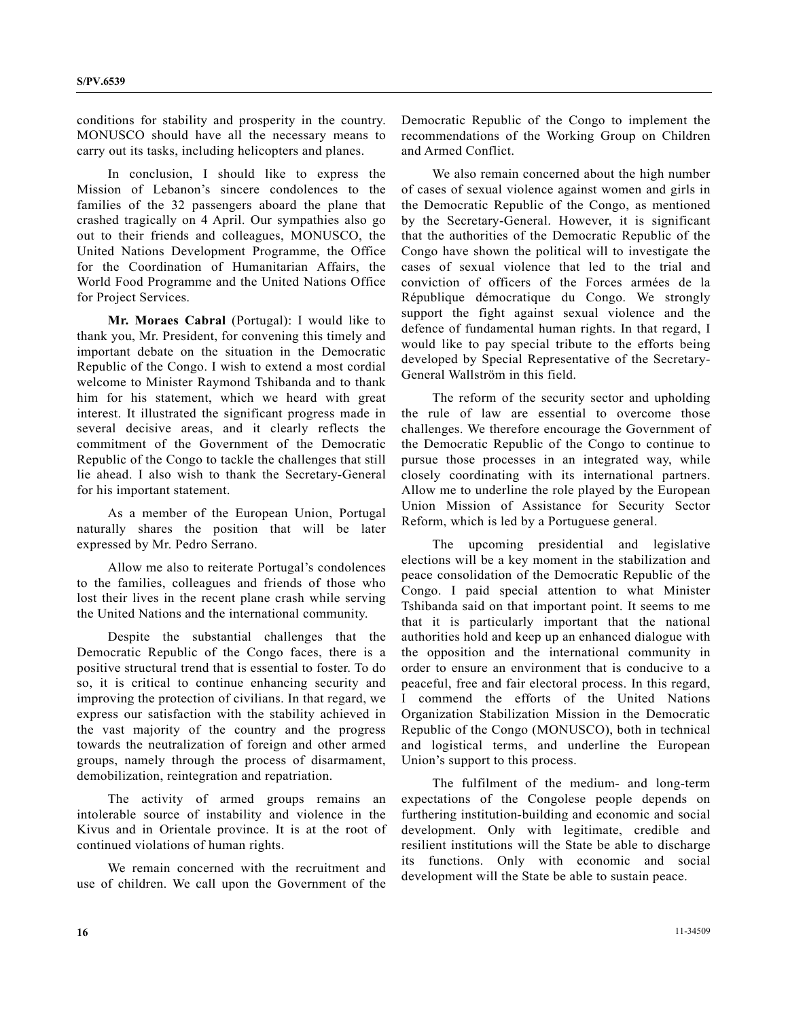conditions for stability and prosperity in the country. MONUSCO should have all the necessary means to carry out its tasks, including helicopters and planes.

 In conclusion, I should like to express the Mission of Lebanon's sincere condolences to the families of the 32 passengers aboard the plane that crashed tragically on 4 April. Our sympathies also go out to their friends and colleagues, MONUSCO, the United Nations Development Programme, the Office for the Coordination of Humanitarian Affairs, the World Food Programme and the United Nations Office for Project Services.

**Mr. Moraes Cabral** (Portugal): I would like to thank you, Mr. President, for convening this timely and important debate on the situation in the Democratic Republic of the Congo. I wish to extend a most cordial welcome to Minister Raymond Tshibanda and to thank him for his statement, which we heard with great interest. It illustrated the significant progress made in several decisive areas, and it clearly reflects the commitment of the Government of the Democratic Republic of the Congo to tackle the challenges that still lie ahead. I also wish to thank the Secretary-General for his important statement.

 As a member of the European Union, Portugal naturally shares the position that will be later expressed by Mr. Pedro Serrano.

 Allow me also to reiterate Portugal's condolences to the families, colleagues and friends of those who lost their lives in the recent plane crash while serving the United Nations and the international community.

 Despite the substantial challenges that the Democratic Republic of the Congo faces, there is a positive structural trend that is essential to foster. To do so, it is critical to continue enhancing security and improving the protection of civilians. In that regard, we express our satisfaction with the stability achieved in the vast majority of the country and the progress towards the neutralization of foreign and other armed groups, namely through the process of disarmament, demobilization, reintegration and repatriation.

 The activity of armed groups remains an intolerable source of instability and violence in the Kivus and in Orientale province. It is at the root of continued violations of human rights.

 We remain concerned with the recruitment and use of children. We call upon the Government of the Democratic Republic of the Congo to implement the recommendations of the Working Group on Children and Armed Conflict.

 We also remain concerned about the high number of cases of sexual violence against women and girls in the Democratic Republic of the Congo, as mentioned by the Secretary-General. However, it is significant that the authorities of the Democratic Republic of the Congo have shown the political will to investigate the cases of sexual violence that led to the trial and conviction of officers of the Forces armées de la République démocratique du Congo. We strongly support the fight against sexual violence and the defence of fundamental human rights. In that regard, I would like to pay special tribute to the efforts being developed by Special Representative of the Secretary-General Wallström in this field.

 The reform of the security sector and upholding the rule of law are essential to overcome those challenges. We therefore encourage the Government of the Democratic Republic of the Congo to continue to pursue those processes in an integrated way, while closely coordinating with its international partners. Allow me to underline the role played by the European Union Mission of Assistance for Security Sector Reform, which is led by a Portuguese general.

 The upcoming presidential and legislative elections will be a key moment in the stabilization and peace consolidation of the Democratic Republic of the Congo. I paid special attention to what Minister Tshibanda said on that important point. It seems to me that it is particularly important that the national authorities hold and keep up an enhanced dialogue with the opposition and the international community in order to ensure an environment that is conducive to a peaceful, free and fair electoral process. In this regard, I commend the efforts of the United Nations Organization Stabilization Mission in the Democratic Republic of the Congo (MONUSCO), both in technical and logistical terms, and underline the European Union's support to this process.

 The fulfilment of the medium- and long-term expectations of the Congolese people depends on furthering institution-building and economic and social development. Only with legitimate, credible and resilient institutions will the State be able to discharge its functions. Only with economic and social development will the State be able to sustain peace.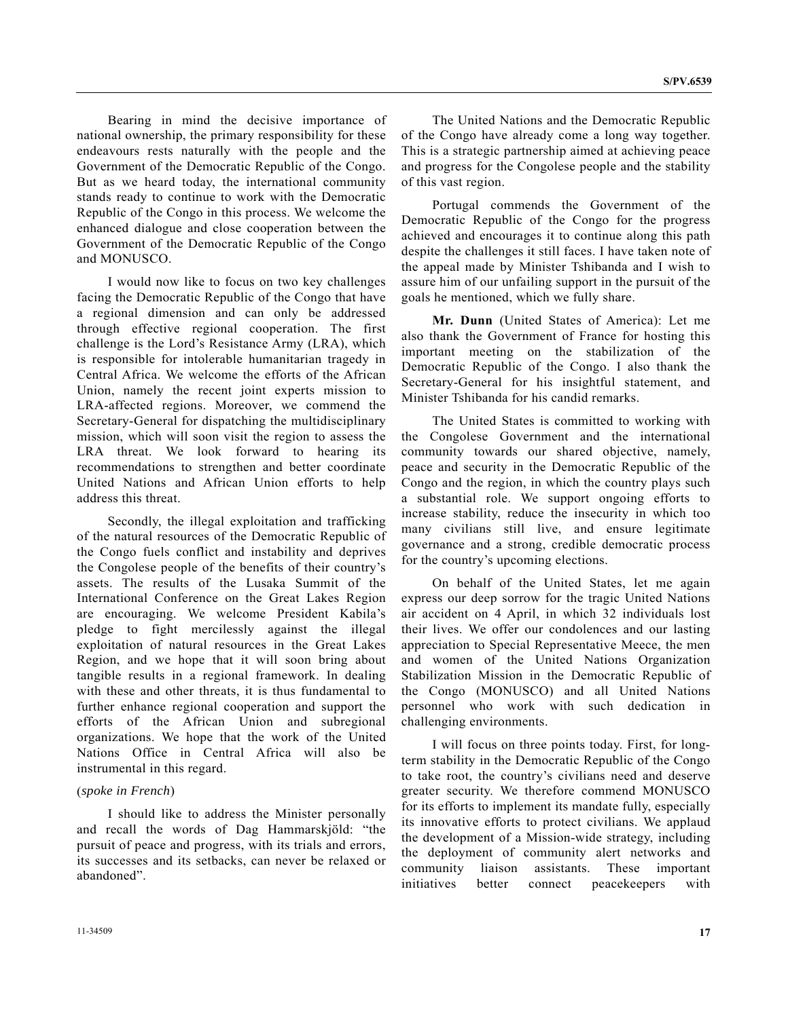Bearing in mind the decisive importance of national ownership, the primary responsibility for these endeavours rests naturally with the people and the Government of the Democratic Republic of the Congo. But as we heard today, the international community stands ready to continue to work with the Democratic Republic of the Congo in this process. We welcome the enhanced dialogue and close cooperation between the Government of the Democratic Republic of the Congo and MONUSCO.

 I would now like to focus on two key challenges facing the Democratic Republic of the Congo that have a regional dimension and can only be addressed through effective regional cooperation. The first challenge is the Lord's Resistance Army (LRA), which is responsible for intolerable humanitarian tragedy in Central Africa. We welcome the efforts of the African Union, namely the recent joint experts mission to LRA-affected regions. Moreover, we commend the Secretary-General for dispatching the multidisciplinary mission, which will soon visit the region to assess the LRA threat. We look forward to hearing its recommendations to strengthen and better coordinate United Nations and African Union efforts to help address this threat.

 Secondly, the illegal exploitation and trafficking of the natural resources of the Democratic Republic of the Congo fuels conflict and instability and deprives the Congolese people of the benefits of their country's assets. The results of the Lusaka Summit of the International Conference on the Great Lakes Region are encouraging. We welcome President Kabila's pledge to fight mercilessly against the illegal exploitation of natural resources in the Great Lakes Region, and we hope that it will soon bring about tangible results in a regional framework. In dealing with these and other threats, it is thus fundamental to further enhance regional cooperation and support the efforts of the African Union and subregional organizations. We hope that the work of the United Nations Office in Central Africa will also be instrumental in this regard.

### (*spoke in French*)

 I should like to address the Minister personally and recall the words of Dag Hammarskjöld: "the pursuit of peace and progress, with its trials and errors, its successes and its setbacks, can never be relaxed or abandoned".

 The United Nations and the Democratic Republic of the Congo have already come a long way together. This is a strategic partnership aimed at achieving peace and progress for the Congolese people and the stability of this vast region.

 Portugal commends the Government of the Democratic Republic of the Congo for the progress achieved and encourages it to continue along this path despite the challenges it still faces. I have taken note of the appeal made by Minister Tshibanda and I wish to assure him of our unfailing support in the pursuit of the goals he mentioned, which we fully share.

**Mr. Dunn** (United States of America): Let me also thank the Government of France for hosting this important meeting on the stabilization of the Democratic Republic of the Congo. I also thank the Secretary-General for his insightful statement, and Minister Tshibanda for his candid remarks.

 The United States is committed to working with the Congolese Government and the international community towards our shared objective, namely, peace and security in the Democratic Republic of the Congo and the region, in which the country plays such a substantial role. We support ongoing efforts to increase stability, reduce the insecurity in which too many civilians still live, and ensure legitimate governance and a strong, credible democratic process for the country's upcoming elections.

 On behalf of the United States, let me again express our deep sorrow for the tragic United Nations air accident on 4 April, in which 32 individuals lost their lives. We offer our condolences and our lasting appreciation to Special Representative Meece, the men and women of the United Nations Organization Stabilization Mission in the Democratic Republic of the Congo (MONUSCO) and all United Nations personnel who work with such dedication in challenging environments.

 I will focus on three points today. First, for longterm stability in the Democratic Republic of the Congo to take root, the country's civilians need and deserve greater security. We therefore commend MONUSCO for its efforts to implement its mandate fully, especially its innovative efforts to protect civilians. We applaud the development of a Mission-wide strategy, including the deployment of community alert networks and community liaison assistants. These important initiatives better connect peacekeepers with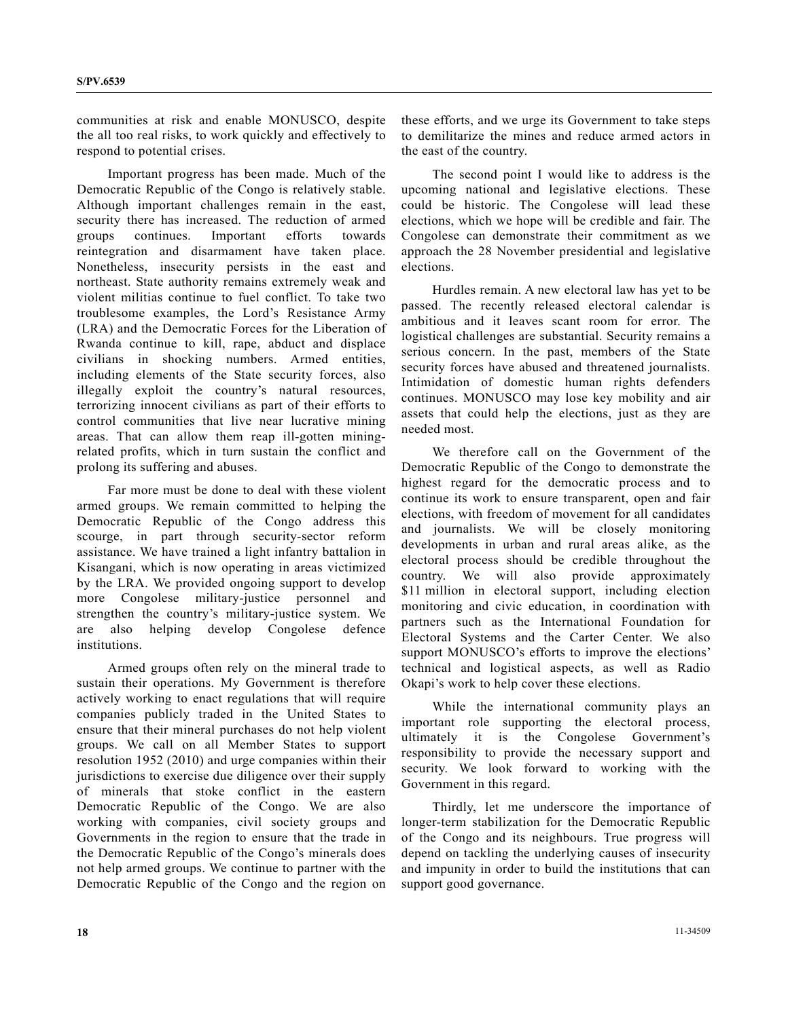communities at risk and enable MONUSCO, despite the all too real risks, to work quickly and effectively to respond to potential crises.

 Important progress has been made. Much of the Democratic Republic of the Congo is relatively stable. Although important challenges remain in the east, security there has increased. The reduction of armed groups continues. Important efforts towards reintegration and disarmament have taken place. Nonetheless, insecurity persists in the east and northeast. State authority remains extremely weak and violent militias continue to fuel conflict. To take two troublesome examples, the Lord's Resistance Army (LRA) and the Democratic Forces for the Liberation of Rwanda continue to kill, rape, abduct and displace civilians in shocking numbers. Armed entities, including elements of the State security forces, also illegally exploit the country's natural resources, terrorizing innocent civilians as part of their efforts to control communities that live near lucrative mining areas. That can allow them reap ill-gotten miningrelated profits, which in turn sustain the conflict and prolong its suffering and abuses.

 Far more must be done to deal with these violent armed groups. We remain committed to helping the Democratic Republic of the Congo address this scourge, in part through security-sector reform assistance. We have trained a light infantry battalion in Kisangani, which is now operating in areas victimized by the LRA. We provided ongoing support to develop more Congolese military-justice personnel and strengthen the country's military-justice system. We are also helping develop Congolese defence institutions.

 Armed groups often rely on the mineral trade to sustain their operations. My Government is therefore actively working to enact regulations that will require companies publicly traded in the United States to ensure that their mineral purchases do not help violent groups. We call on all Member States to support resolution 1952 (2010) and urge companies within their jurisdictions to exercise due diligence over their supply of minerals that stoke conflict in the eastern Democratic Republic of the Congo. We are also working with companies, civil society groups and Governments in the region to ensure that the trade in the Democratic Republic of the Congo's minerals does not help armed groups. We continue to partner with the Democratic Republic of the Congo and the region on

these efforts, and we urge its Government to take steps to demilitarize the mines and reduce armed actors in the east of the country.

 The second point I would like to address is the upcoming national and legislative elections. These could be historic. The Congolese will lead these elections, which we hope will be credible and fair. The Congolese can demonstrate their commitment as we approach the 28 November presidential and legislative elections.

 Hurdles remain. A new electoral law has yet to be passed. The recently released electoral calendar is ambitious and it leaves scant room for error. The logistical challenges are substantial. Security remains a serious concern. In the past, members of the State security forces have abused and threatened journalists. Intimidation of domestic human rights defenders continues. MONUSCO may lose key mobility and air assets that could help the elections, just as they are needed most.

 We therefore call on the Government of the Democratic Republic of the Congo to demonstrate the highest regard for the democratic process and to continue its work to ensure transparent, open and fair elections, with freedom of movement for all candidates and journalists. We will be closely monitoring developments in urban and rural areas alike, as the electoral process should be credible throughout the country. We will also provide approximately \$11 million in electoral support, including election monitoring and civic education, in coordination with partners such as the International Foundation for Electoral Systems and the Carter Center. We also support MONUSCO's efforts to improve the elections' technical and logistical aspects, as well as Radio Okapi's work to help cover these elections.

 While the international community plays an important role supporting the electoral process, ultimately it is the Congolese Government's responsibility to provide the necessary support and security. We look forward to working with the Government in this regard.

 Thirdly, let me underscore the importance of longer-term stabilization for the Democratic Republic of the Congo and its neighbours. True progress will depend on tackling the underlying causes of insecurity and impunity in order to build the institutions that can support good governance.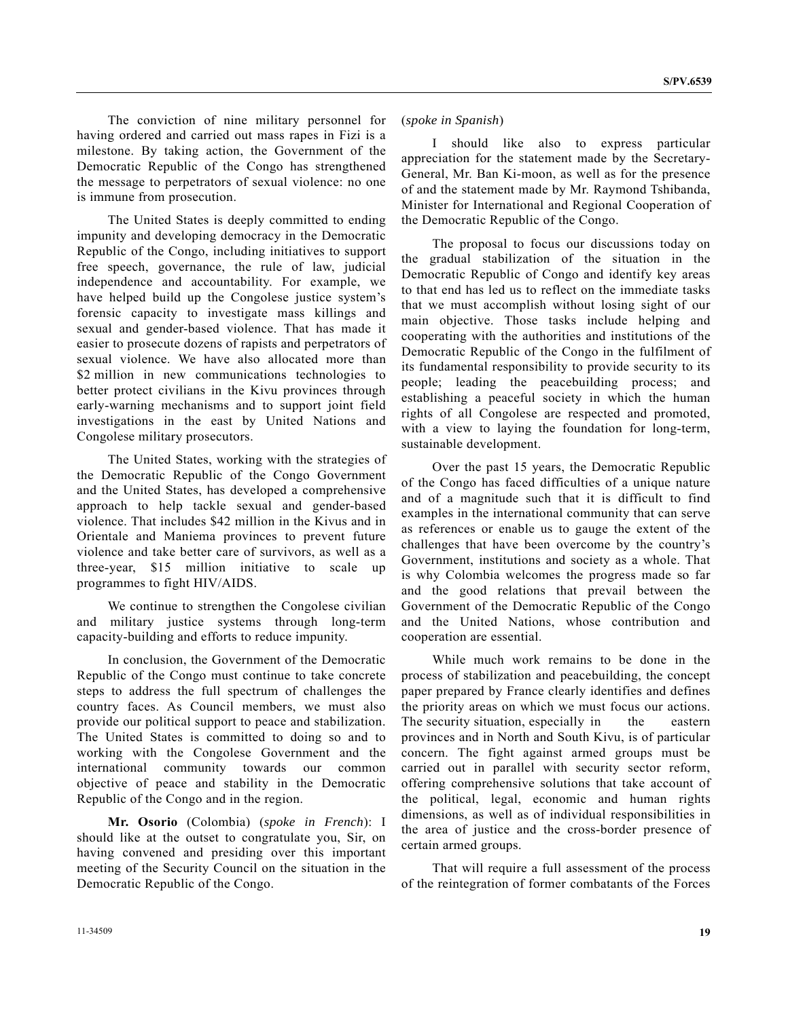The conviction of nine military personnel for having ordered and carried out mass rapes in Fizi is a milestone. By taking action, the Government of the Democratic Republic of the Congo has strengthened the message to perpetrators of sexual violence: no one is immune from prosecution.

 The United States is deeply committed to ending impunity and developing democracy in the Democratic Republic of the Congo, including initiatives to support free speech, governance, the rule of law, judicial independence and accountability. For example, we have helped build up the Congolese justice system's forensic capacity to investigate mass killings and sexual and gender-based violence. That has made it easier to prosecute dozens of rapists and perpetrators of sexual violence. We have also allocated more than \$2 million in new communications technologies to better protect civilians in the Kivu provinces through early-warning mechanisms and to support joint field investigations in the east by United Nations and Congolese military prosecutors.

 The United States, working with the strategies of the Democratic Republic of the Congo Government and the United States, has developed a comprehensive approach to help tackle sexual and gender-based violence. That includes \$42 million in the Kivus and in Orientale and Maniema provinces to prevent future violence and take better care of survivors, as well as a three-year, \$15 million initiative to scale up programmes to fight HIV/AIDS.

 We continue to strengthen the Congolese civilian and military justice systems through long-term capacity-building and efforts to reduce impunity.

 In conclusion, the Government of the Democratic Republic of the Congo must continue to take concrete steps to address the full spectrum of challenges the country faces. As Council members, we must also provide our political support to peace and stabilization. The United States is committed to doing so and to working with the Congolese Government and the international community towards our common objective of peace and stability in the Democratic Republic of the Congo and in the region.

**Mr. Osorio** (Colombia) (*spoke in French*): I should like at the outset to congratulate you, Sir, on having convened and presiding over this important meeting of the Security Council on the situation in the Democratic Republic of the Congo.

## (*spoke in Spanish*)

 I should like also to express particular appreciation for the statement made by the Secretary-General, Mr. Ban Ki-moon, as well as for the presence of and the statement made by Mr. Raymond Tshibanda, Minister for International and Regional Cooperation of the Democratic Republic of the Congo.

 The proposal to focus our discussions today on the gradual stabilization of the situation in the Democratic Republic of Congo and identify key areas to that end has led us to reflect on the immediate tasks that we must accomplish without losing sight of our main objective. Those tasks include helping and cooperating with the authorities and institutions of the Democratic Republic of the Congo in the fulfilment of its fundamental responsibility to provide security to its people; leading the peacebuilding process; and establishing a peaceful society in which the human rights of all Congolese are respected and promoted, with a view to laying the foundation for long-term, sustainable development.

 Over the past 15 years, the Democratic Republic of the Congo has faced difficulties of a unique nature and of a magnitude such that it is difficult to find examples in the international community that can serve as references or enable us to gauge the extent of the challenges that have been overcome by the country's Government, institutions and society as a whole. That is why Colombia welcomes the progress made so far and the good relations that prevail between the Government of the Democratic Republic of the Congo and the United Nations, whose contribution and cooperation are essential.

 While much work remains to be done in the process of stabilization and peacebuilding, the concept paper prepared by France clearly identifies and defines the priority areas on which we must focus our actions. The security situation, especially in the eastern provinces and in North and South Kivu, is of particular concern. The fight against armed groups must be carried out in parallel with security sector reform, offering comprehensive solutions that take account of the political, legal, economic and human rights dimensions, as well as of individual responsibilities in the area of justice and the cross-border presence of certain armed groups.

 That will require a full assessment of the process of the reintegration of former combatants of the Forces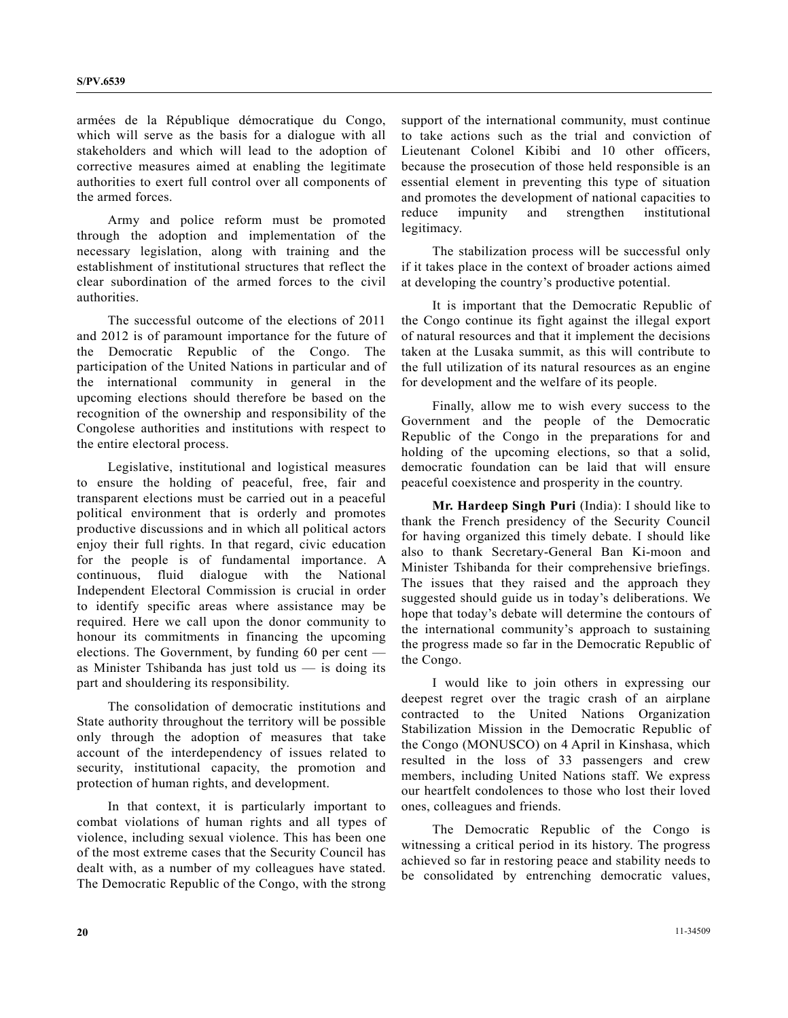armées de la République démocratique du Congo, which will serve as the basis for a dialogue with all stakeholders and which will lead to the adoption of corrective measures aimed at enabling the legitimate authorities to exert full control over all components of the armed forces.

 Army and police reform must be promoted through the adoption and implementation of the necessary legislation, along with training and the establishment of institutional structures that reflect the clear subordination of the armed forces to the civil authorities.

 The successful outcome of the elections of 2011 and 2012 is of paramount importance for the future of the Democratic Republic of the Congo. The participation of the United Nations in particular and of the international community in general in the upcoming elections should therefore be based on the recognition of the ownership and responsibility of the Congolese authorities and institutions with respect to the entire electoral process.

 Legislative, institutional and logistical measures to ensure the holding of peaceful, free, fair and transparent elections must be carried out in a peaceful political environment that is orderly and promotes productive discussions and in which all political actors enjoy their full rights. In that regard, civic education for the people is of fundamental importance. A continuous, fluid dialogue with the National Independent Electoral Commission is crucial in order to identify specific areas where assistance may be required. Here we call upon the donor community to honour its commitments in financing the upcoming elections. The Government, by funding 60 per cent as Minister Tshibanda has just told us  $-$  is doing its part and shouldering its responsibility.

 The consolidation of democratic institutions and State authority throughout the territory will be possible only through the adoption of measures that take account of the interdependency of issues related to security, institutional capacity, the promotion and protection of human rights, and development.

 In that context, it is particularly important to combat violations of human rights and all types of violence, including sexual violence. This has been one of the most extreme cases that the Security Council has dealt with, as a number of my colleagues have stated. The Democratic Republic of the Congo, with the strong

support of the international community, must continue to take actions such as the trial and conviction of Lieutenant Colonel Kibibi and 10 other officers, because the prosecution of those held responsible is an essential element in preventing this type of situation and promotes the development of national capacities to reduce impunity and strengthen institutional legitimacy.

 The stabilization process will be successful only if it takes place in the context of broader actions aimed at developing the country's productive potential.

 It is important that the Democratic Republic of the Congo continue its fight against the illegal export of natural resources and that it implement the decisions taken at the Lusaka summit, as this will contribute to the full utilization of its natural resources as an engine for development and the welfare of its people.

 Finally, allow me to wish every success to the Government and the people of the Democratic Republic of the Congo in the preparations for and holding of the upcoming elections, so that a solid, democratic foundation can be laid that will ensure peaceful coexistence and prosperity in the country.

**Mr. Hardeep Singh Puri** (India): I should like to thank the French presidency of the Security Council for having organized this timely debate. I should like also to thank Secretary-General Ban Ki-moon and Minister Tshibanda for their comprehensive briefings. The issues that they raised and the approach they suggested should guide us in today's deliberations. We hope that today's debate will determine the contours of the international community's approach to sustaining the progress made so far in the Democratic Republic of the Congo.

 I would like to join others in expressing our deepest regret over the tragic crash of an airplane contracted to the United Nations Organization Stabilization Mission in the Democratic Republic of the Congo (MONUSCO) on 4 April in Kinshasa, which resulted in the loss of 33 passengers and crew members, including United Nations staff. We express our heartfelt condolences to those who lost their loved ones, colleagues and friends.

 The Democratic Republic of the Congo is witnessing a critical period in its history. The progress achieved so far in restoring peace and stability needs to be consolidated by entrenching democratic values,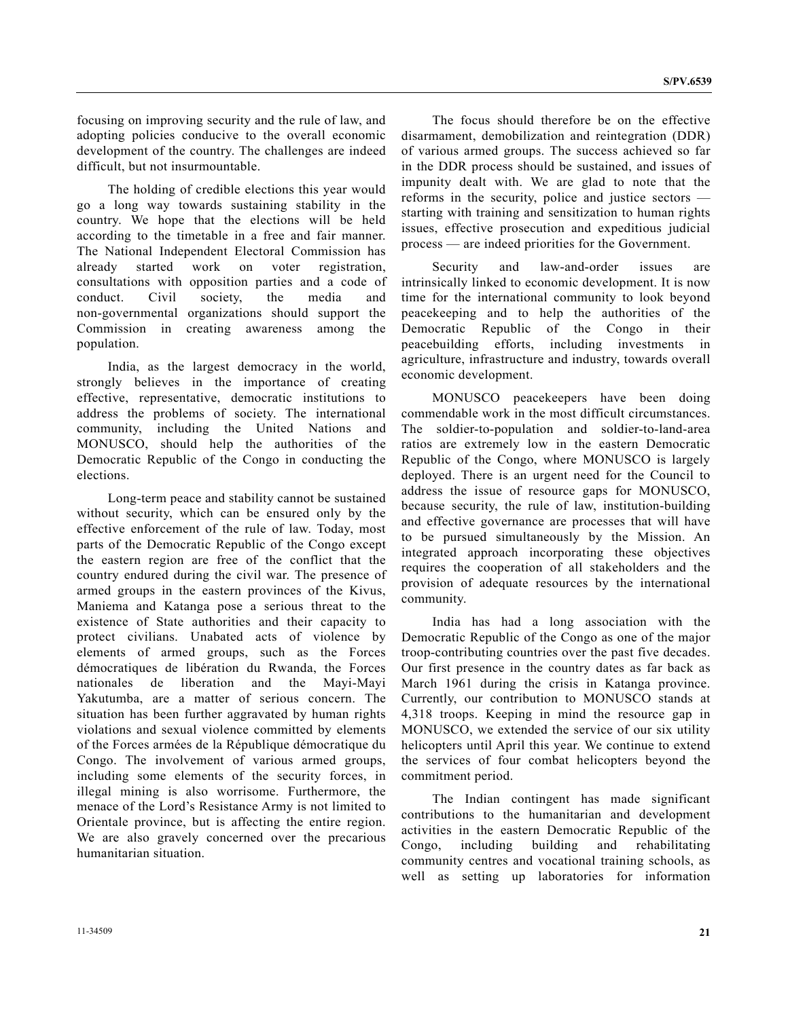focusing on improving security and the rule of law, and adopting policies conducive to the overall economic development of the country. The challenges are indeed difficult, but not insurmountable.

 The holding of credible elections this year would go a long way towards sustaining stability in the country. We hope that the elections will be held according to the timetable in a free and fair manner. The National Independent Electoral Commission has already started work on voter registration, consultations with opposition parties and a code of conduct. Civil society, the media and non-governmental organizations should support the Commission in creating awareness among the population.

 India, as the largest democracy in the world, strongly believes in the importance of creating effective, representative, democratic institutions to address the problems of society. The international community, including the United Nations and MONUSCO, should help the authorities of the Democratic Republic of the Congo in conducting the elections.

 Long-term peace and stability cannot be sustained without security, which can be ensured only by the effective enforcement of the rule of law. Today, most parts of the Democratic Republic of the Congo except the eastern region are free of the conflict that the country endured during the civil war. The presence of armed groups in the eastern provinces of the Kivus, Maniema and Katanga pose a serious threat to the existence of State authorities and their capacity to protect civilians. Unabated acts of violence by elements of armed groups, such as the Forces démocratiques de libération du Rwanda, the Forces nationales de liberation and the Mayi-Mayi Yakutumba, are a matter of serious concern. The situation has been further aggravated by human rights violations and sexual violence committed by elements of the Forces armées de la République démocratique du Congo. The involvement of various armed groups, including some elements of the security forces, in illegal mining is also worrisome. Furthermore, the menace of the Lord's Resistance Army is not limited to Orientale province, but is affecting the entire region. We are also gravely concerned over the precarious humanitarian situation.

 The focus should therefore be on the effective disarmament, demobilization and reintegration (DDR) of various armed groups. The success achieved so far in the DDR process should be sustained, and issues of impunity dealt with. We are glad to note that the reforms in the security, police and justice sectors starting with training and sensitization to human rights issues, effective prosecution and expeditious judicial process — are indeed priorities for the Government.

 Security and law-and-order issues are intrinsically linked to economic development. It is now time for the international community to look beyond peacekeeping and to help the authorities of the Democratic Republic of the Congo in their peacebuilding efforts, including investments in agriculture, infrastructure and industry, towards overall economic development.

 MONUSCO peacekeepers have been doing commendable work in the most difficult circumstances. The soldier-to-population and soldier-to-land-area ratios are extremely low in the eastern Democratic Republic of the Congo, where MONUSCO is largely deployed. There is an urgent need for the Council to address the issue of resource gaps for MONUSCO, because security, the rule of law, institution-building and effective governance are processes that will have to be pursued simultaneously by the Mission. An integrated approach incorporating these objectives requires the cooperation of all stakeholders and the provision of adequate resources by the international community.

 India has had a long association with the Democratic Republic of the Congo as one of the major troop-contributing countries over the past five decades. Our first presence in the country dates as far back as March 1961 during the crisis in Katanga province. Currently, our contribution to MONUSCO stands at 4,318 troops. Keeping in mind the resource gap in MONUSCO, we extended the service of our six utility helicopters until April this year. We continue to extend the services of four combat helicopters beyond the commitment period.

 The Indian contingent has made significant contributions to the humanitarian and development activities in the eastern Democratic Republic of the Congo, including building and rehabilitating community centres and vocational training schools, as well as setting up laboratories for information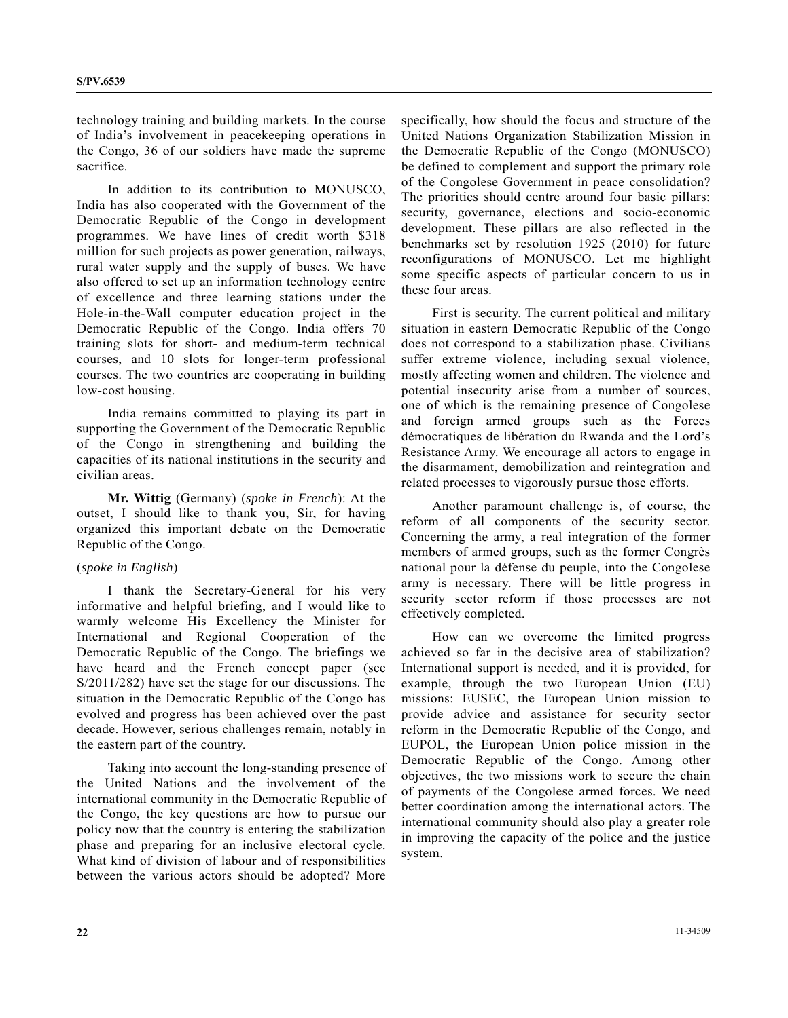technology training and building markets. In the course of India's involvement in peacekeeping operations in the Congo, 36 of our soldiers have made the supreme sacrifice.

 In addition to its contribution to MONUSCO, India has also cooperated with the Government of the Democratic Republic of the Congo in development programmes. We have lines of credit worth \$318 million for such projects as power generation, railways, rural water supply and the supply of buses. We have also offered to set up an information technology centre of excellence and three learning stations under the Hole-in-the-Wall computer education project in the Democratic Republic of the Congo. India offers 70 training slots for short- and medium-term technical courses, and 10 slots for longer-term professional courses. The two countries are cooperating in building low-cost housing.

 India remains committed to playing its part in supporting the Government of the Democratic Republic of the Congo in strengthening and building the capacities of its national institutions in the security and civilian areas.

**Mr. Wittig** (Germany) (*spoke in French*): At the outset, I should like to thank you, Sir, for having organized this important debate on the Democratic Republic of the Congo.

# (*spoke in English*)

 I thank the Secretary-General for his very informative and helpful briefing, and I would like to warmly welcome His Excellency the Minister for International and Regional Cooperation of the Democratic Republic of the Congo. The briefings we have heard and the French concept paper (see S/2011/282) have set the stage for our discussions. The situation in the Democratic Republic of the Congo has evolved and progress has been achieved over the past decade. However, serious challenges remain, notably in the eastern part of the country.

 Taking into account the long-standing presence of the United Nations and the involvement of the international community in the Democratic Republic of the Congo, the key questions are how to pursue our policy now that the country is entering the stabilization phase and preparing for an inclusive electoral cycle. What kind of division of labour and of responsibilities between the various actors should be adopted? More

specifically, how should the focus and structure of the United Nations Organization Stabilization Mission in the Democratic Republic of the Congo (MONUSCO) be defined to complement and support the primary role of the Congolese Government in peace consolidation? The priorities should centre around four basic pillars: security, governance, elections and socio-economic development. These pillars are also reflected in the benchmarks set by resolution 1925 (2010) for future reconfigurations of MONUSCO. Let me highlight some specific aspects of particular concern to us in these four areas.

 First is security. The current political and military situation in eastern Democratic Republic of the Congo does not correspond to a stabilization phase. Civilians suffer extreme violence, including sexual violence, mostly affecting women and children. The violence and potential insecurity arise from a number of sources, one of which is the remaining presence of Congolese and foreign armed groups such as the Forces démocratiques de libération du Rwanda and the Lord's Resistance Army. We encourage all actors to engage in the disarmament, demobilization and reintegration and related processes to vigorously pursue those efforts.

 Another paramount challenge is, of course, the reform of all components of the security sector. Concerning the army, a real integration of the former members of armed groups, such as the former Congrès national pour la défense du peuple, into the Congolese army is necessary. There will be little progress in security sector reform if those processes are not effectively completed.

 How can we overcome the limited progress achieved so far in the decisive area of stabilization? International support is needed, and it is provided, for example, through the two European Union (EU) missions: EUSEC, the European Union mission to provide advice and assistance for security sector reform in the Democratic Republic of the Congo, and EUPOL, the European Union police mission in the Democratic Republic of the Congo. Among other objectives, the two missions work to secure the chain of payments of the Congolese armed forces. We need better coordination among the international actors. The international community should also play a greater role in improving the capacity of the police and the justice system.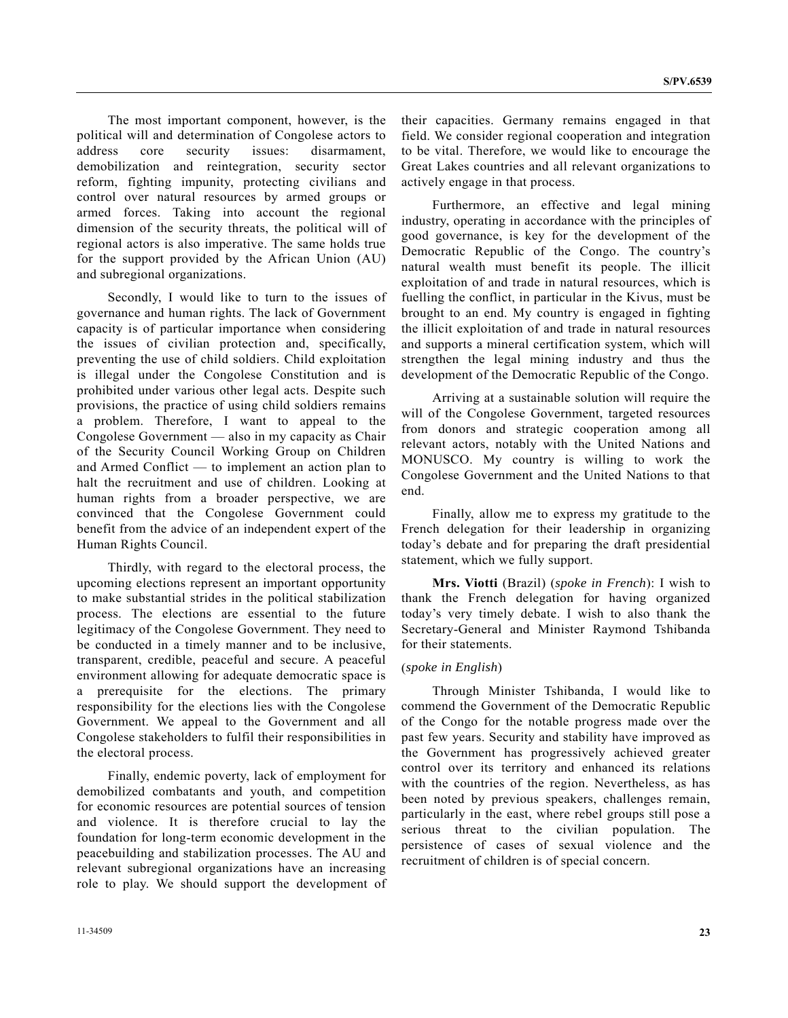The most important component, however, is the political will and determination of Congolese actors to address core security issues: disarmament, demobilization and reintegration, security sector reform, fighting impunity, protecting civilians and control over natural resources by armed groups or armed forces. Taking into account the regional dimension of the security threats, the political will of regional actors is also imperative. The same holds true for the support provided by the African Union (AU) and subregional organizations.

 Secondly, I would like to turn to the issues of governance and human rights. The lack of Government capacity is of particular importance when considering the issues of civilian protection and, specifically, preventing the use of child soldiers. Child exploitation is illegal under the Congolese Constitution and is prohibited under various other legal acts. Despite such provisions, the practice of using child soldiers remains a problem. Therefore, I want to appeal to the Congolese Government — also in my capacity as Chair of the Security Council Working Group on Children and Armed Conflict — to implement an action plan to halt the recruitment and use of children. Looking at human rights from a broader perspective, we are convinced that the Congolese Government could benefit from the advice of an independent expert of the Human Rights Council.

 Thirdly, with regard to the electoral process, the upcoming elections represent an important opportunity to make substantial strides in the political stabilization process. The elections are essential to the future legitimacy of the Congolese Government. They need to be conducted in a timely manner and to be inclusive, transparent, credible, peaceful and secure. A peaceful environment allowing for adequate democratic space is a prerequisite for the elections. The primary responsibility for the elections lies with the Congolese Government. We appeal to the Government and all Congolese stakeholders to fulfil their responsibilities in the electoral process.

 Finally, endemic poverty, lack of employment for demobilized combatants and youth, and competition for economic resources are potential sources of tension and violence. It is therefore crucial to lay the foundation for long-term economic development in the peacebuilding and stabilization processes. The AU and relevant subregional organizations have an increasing role to play. We should support the development of their capacities. Germany remains engaged in that field. We consider regional cooperation and integration to be vital. Therefore, we would like to encourage the Great Lakes countries and all relevant organizations to actively engage in that process.

 Furthermore, an effective and legal mining industry, operating in accordance with the principles of good governance, is key for the development of the Democratic Republic of the Congo. The country's natural wealth must benefit its people. The illicit exploitation of and trade in natural resources, which is fuelling the conflict, in particular in the Kivus, must be brought to an end. My country is engaged in fighting the illicit exploitation of and trade in natural resources and supports a mineral certification system, which will strengthen the legal mining industry and thus the development of the Democratic Republic of the Congo.

 Arriving at a sustainable solution will require the will of the Congolese Government, targeted resources from donors and strategic cooperation among all relevant actors, notably with the United Nations and MONUSCO. My country is willing to work the Congolese Government and the United Nations to that end.

 Finally, allow me to express my gratitude to the French delegation for their leadership in organizing today's debate and for preparing the draft presidential statement, which we fully support.

**Mrs. Viotti** (Brazil) (*spoke in French*): I wish to thank the French delegation for having organized today's very timely debate. I wish to also thank the Secretary-General and Minister Raymond Tshibanda for their statements.

#### (*spoke in English*)

 Through Minister Tshibanda, I would like to commend the Government of the Democratic Republic of the Congo for the notable progress made over the past few years. Security and stability have improved as the Government has progressively achieved greater control over its territory and enhanced its relations with the countries of the region. Nevertheless, as has been noted by previous speakers, challenges remain, particularly in the east, where rebel groups still pose a serious threat to the civilian population. The persistence of cases of sexual violence and the recruitment of children is of special concern.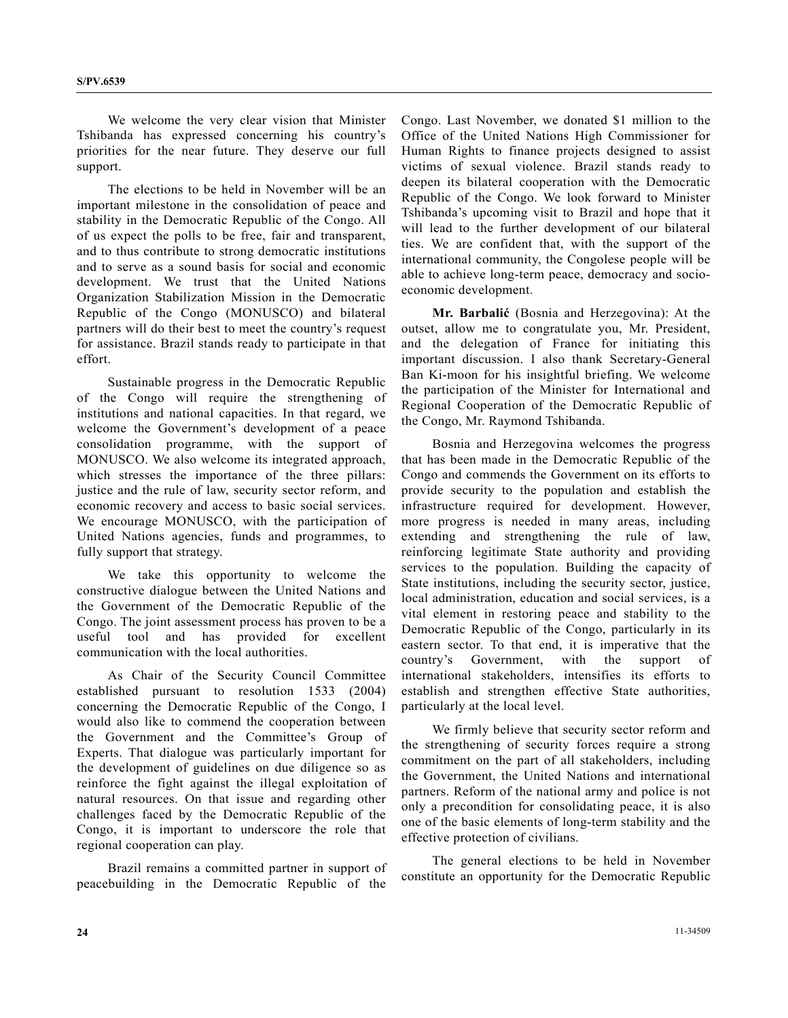We welcome the very clear vision that Minister Tshibanda has expressed concerning his country's priorities for the near future. They deserve our full support.

 The elections to be held in November will be an important milestone in the consolidation of peace and stability in the Democratic Republic of the Congo. All of us expect the polls to be free, fair and transparent, and to thus contribute to strong democratic institutions and to serve as a sound basis for social and economic development. We trust that the United Nations Organization Stabilization Mission in the Democratic Republic of the Congo (MONUSCO) and bilateral partners will do their best to meet the country's request for assistance. Brazil stands ready to participate in that effort.

 Sustainable progress in the Democratic Republic of the Congo will require the strengthening of institutions and national capacities. In that regard, we welcome the Government's development of a peace consolidation programme, with the support of MONUSCO. We also welcome its integrated approach, which stresses the importance of the three pillars: justice and the rule of law, security sector reform, and economic recovery and access to basic social services. We encourage MONUSCO, with the participation of United Nations agencies, funds and programmes, to fully support that strategy.

 We take this opportunity to welcome the constructive dialogue between the United Nations and the Government of the Democratic Republic of the Congo. The joint assessment process has proven to be a useful tool and has provided for excellent communication with the local authorities.

 As Chair of the Security Council Committee established pursuant to resolution 1533 (2004) concerning the Democratic Republic of the Congo, I would also like to commend the cooperation between the Government and the Committee's Group of Experts. That dialogue was particularly important for the development of guidelines on due diligence so as reinforce the fight against the illegal exploitation of natural resources. On that issue and regarding other challenges faced by the Democratic Republic of the Congo, it is important to underscore the role that regional cooperation can play.

 Brazil remains a committed partner in support of peacebuilding in the Democratic Republic of the Congo. Last November, we donated \$1 million to the Office of the United Nations High Commissioner for Human Rights to finance projects designed to assist victims of sexual violence. Brazil stands ready to deepen its bilateral cooperation with the Democratic Republic of the Congo. We look forward to Minister Tshibanda's upcoming visit to Brazil and hope that it will lead to the further development of our bilateral ties. We are confident that, with the support of the international community, the Congolese people will be able to achieve long-term peace, democracy and socioeconomic development.

**Mr. Barbalić** (Bosnia and Herzegovina): At the outset, allow me to congratulate you, Mr. President, and the delegation of France for initiating this important discussion. I also thank Secretary-General Ban Ki-moon for his insightful briefing. We welcome the participation of the Minister for International and Regional Cooperation of the Democratic Republic of the Congo, Mr. Raymond Tshibanda.

 Bosnia and Herzegovina welcomes the progress that has been made in the Democratic Republic of the Congo and commends the Government on its efforts to provide security to the population and establish the infrastructure required for development. However, more progress is needed in many areas, including extending and strengthening the rule of law, reinforcing legitimate State authority and providing services to the population. Building the capacity of State institutions, including the security sector, justice, local administration, education and social services, is a vital element in restoring peace and stability to the Democratic Republic of the Congo, particularly in its eastern sector. To that end, it is imperative that the country's Government, with the support of international stakeholders, intensifies its efforts to establish and strengthen effective State authorities, particularly at the local level.

 We firmly believe that security sector reform and the strengthening of security forces require a strong commitment on the part of all stakeholders, including the Government, the United Nations and international partners. Reform of the national army and police is not only a precondition for consolidating peace, it is also one of the basic elements of long-term stability and the effective protection of civilians.

 The general elections to be held in November constitute an opportunity for the Democratic Republic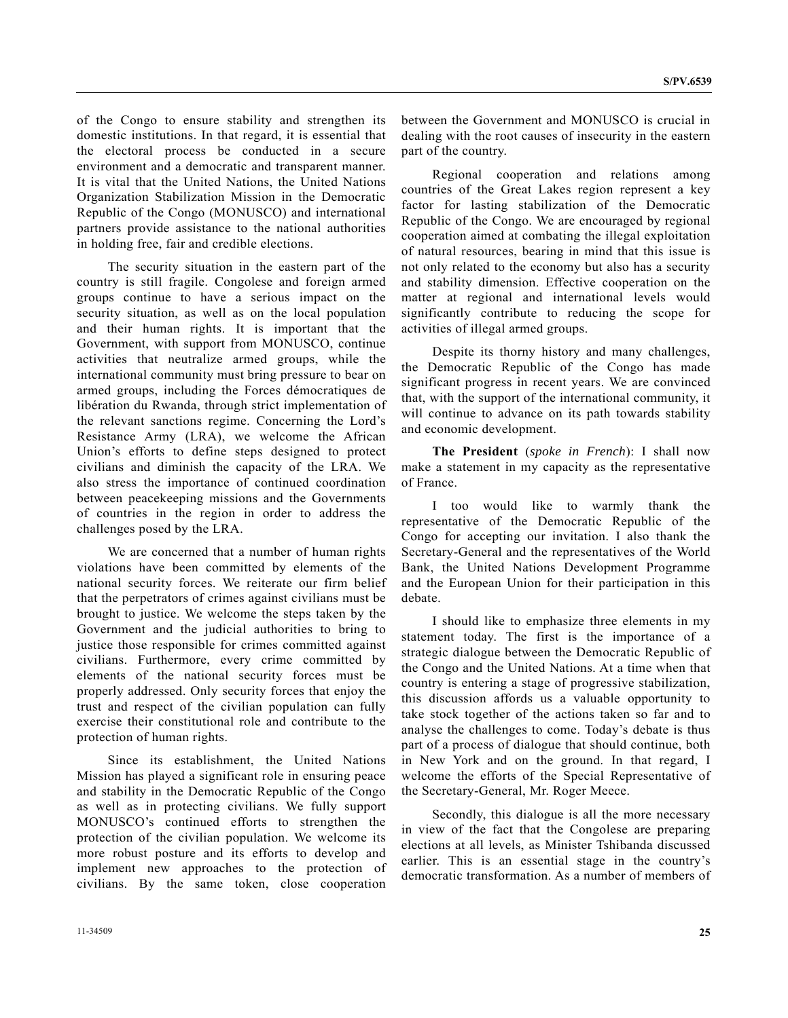of the Congo to ensure stability and strengthen its domestic institutions. In that regard, it is essential that the electoral process be conducted in a secure environment and a democratic and transparent manner. It is vital that the United Nations, the United Nations Organization Stabilization Mission in the Democratic Republic of the Congo (MONUSCO) and international partners provide assistance to the national authorities in holding free, fair and credible elections.

 The security situation in the eastern part of the country is still fragile. Congolese and foreign armed groups continue to have a serious impact on the security situation, as well as on the local population and their human rights. It is important that the Government, with support from MONUSCO, continue activities that neutralize armed groups, while the international community must bring pressure to bear on armed groups, including the Forces démocratiques de libération du Rwanda, through strict implementation of the relevant sanctions regime. Concerning the Lord's Resistance Army (LRA), we welcome the African Union's efforts to define steps designed to protect civilians and diminish the capacity of the LRA. We also stress the importance of continued coordination between peacekeeping missions and the Governments of countries in the region in order to address the challenges posed by the LRA.

 We are concerned that a number of human rights violations have been committed by elements of the national security forces. We reiterate our firm belief that the perpetrators of crimes against civilians must be brought to justice. We welcome the steps taken by the Government and the judicial authorities to bring to justice those responsible for crimes committed against civilians. Furthermore, every crime committed by elements of the national security forces must be properly addressed. Only security forces that enjoy the trust and respect of the civilian population can fully exercise their constitutional role and contribute to the protection of human rights.

 Since its establishment, the United Nations Mission has played a significant role in ensuring peace and stability in the Democratic Republic of the Congo as well as in protecting civilians. We fully support MONUSCO's continued efforts to strengthen the protection of the civilian population. We welcome its more robust posture and its efforts to develop and implement new approaches to the protection of civilians. By the same token, close cooperation

between the Government and MONUSCO is crucial in dealing with the root causes of insecurity in the eastern part of the country.

 Regional cooperation and relations among countries of the Great Lakes region represent a key factor for lasting stabilization of the Democratic Republic of the Congo. We are encouraged by regional cooperation aimed at combating the illegal exploitation of natural resources, bearing in mind that this issue is not only related to the economy but also has a security and stability dimension. Effective cooperation on the matter at regional and international levels would significantly contribute to reducing the scope for activities of illegal armed groups.

 Despite its thorny history and many challenges, the Democratic Republic of the Congo has made significant progress in recent years. We are convinced that, with the support of the international community, it will continue to advance on its path towards stability and economic development.

**The President** (*spoke in French*): I shall now make a statement in my capacity as the representative of France.

 I too would like to warmly thank the representative of the Democratic Republic of the Congo for accepting our invitation. I also thank the Secretary-General and the representatives of the World Bank, the United Nations Development Programme and the European Union for their participation in this debate.

 I should like to emphasize three elements in my statement today. The first is the importance of a strategic dialogue between the Democratic Republic of the Congo and the United Nations. At a time when that country is entering a stage of progressive stabilization, this discussion affords us a valuable opportunity to take stock together of the actions taken so far and to analyse the challenges to come. Today's debate is thus part of a process of dialogue that should continue, both in New York and on the ground. In that regard, I welcome the efforts of the Special Representative of the Secretary-General, Mr. Roger Meece.

 Secondly, this dialogue is all the more necessary in view of the fact that the Congolese are preparing elections at all levels, as Minister Tshibanda discussed earlier. This is an essential stage in the country's democratic transformation. As a number of members of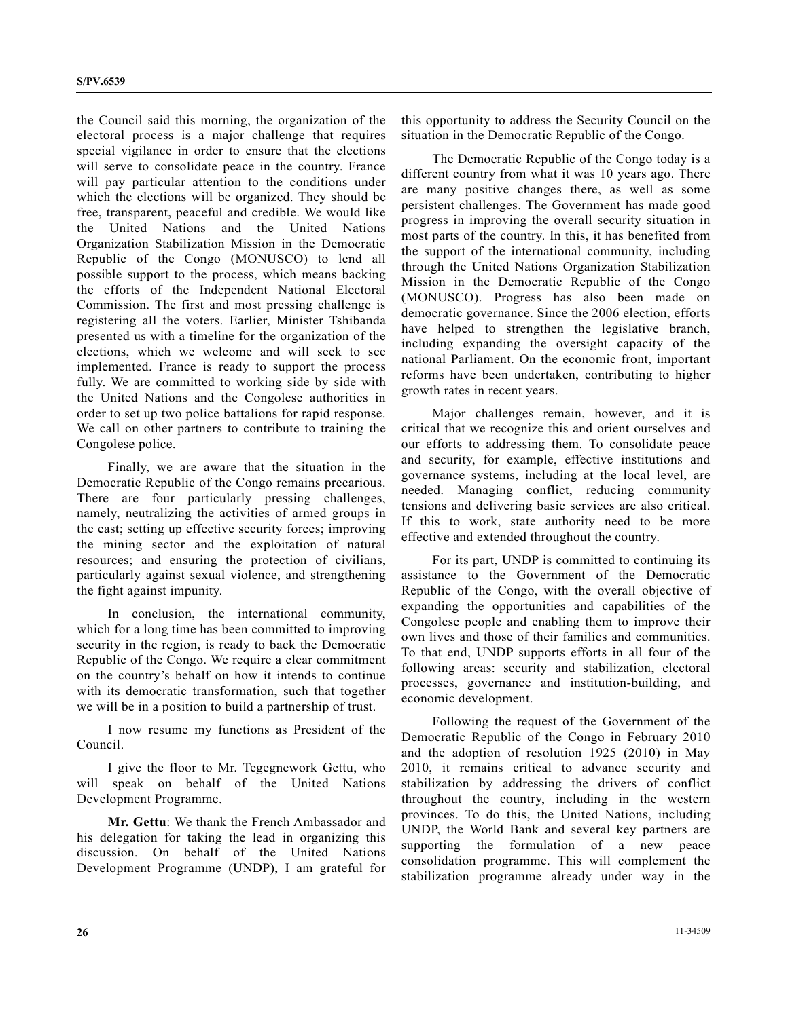the Council said this morning, the organization of the electoral process is a major challenge that requires special vigilance in order to ensure that the elections will serve to consolidate peace in the country. France will pay particular attention to the conditions under which the elections will be organized. They should be free, transparent, peaceful and credible. We would like the United Nations and the United Nations Organization Stabilization Mission in the Democratic Republic of the Congo (MONUSCO) to lend all possible support to the process, which means backing the efforts of the Independent National Electoral Commission. The first and most pressing challenge is registering all the voters. Earlier, Minister Tshibanda presented us with a timeline for the organization of the elections, which we welcome and will seek to see implemented. France is ready to support the process fully. We are committed to working side by side with the United Nations and the Congolese authorities in order to set up two police battalions for rapid response. We call on other partners to contribute to training the Congolese police.

 Finally, we are aware that the situation in the Democratic Republic of the Congo remains precarious. There are four particularly pressing challenges, namely, neutralizing the activities of armed groups in the east; setting up effective security forces; improving the mining sector and the exploitation of natural resources; and ensuring the protection of civilians, particularly against sexual violence, and strengthening the fight against impunity.

 In conclusion, the international community, which for a long time has been committed to improving security in the region, is ready to back the Democratic Republic of the Congo. We require a clear commitment on the country's behalf on how it intends to continue with its democratic transformation, such that together we will be in a position to build a partnership of trust.

 I now resume my functions as President of the Council.

 I give the floor to Mr. Tegegnework Gettu, who will speak on behalf of the United Nations Development Programme.

**Mr. Gettu**: We thank the French Ambassador and his delegation for taking the lead in organizing this discussion. On behalf of the United Nations Development Programme (UNDP), I am grateful for

this opportunity to address the Security Council on the situation in the Democratic Republic of the Congo.

 The Democratic Republic of the Congo today is a different country from what it was 10 years ago. There are many positive changes there, as well as some persistent challenges. The Government has made good progress in improving the overall security situation in most parts of the country. In this, it has benefited from the support of the international community, including through the United Nations Organization Stabilization Mission in the Democratic Republic of the Congo (MONUSCO). Progress has also been made on democratic governance. Since the 2006 election, efforts have helped to strengthen the legislative branch, including expanding the oversight capacity of the national Parliament. On the economic front, important reforms have been undertaken, contributing to higher growth rates in recent years.

 Major challenges remain, however, and it is critical that we recognize this and orient ourselves and our efforts to addressing them. To consolidate peace and security, for example, effective institutions and governance systems, including at the local level, are needed. Managing conflict, reducing community tensions and delivering basic services are also critical. If this to work, state authority need to be more effective and extended throughout the country.

 For its part, UNDP is committed to continuing its assistance to the Government of the Democratic Republic of the Congo, with the overall objective of expanding the opportunities and capabilities of the Congolese people and enabling them to improve their own lives and those of their families and communities. To that end, UNDP supports efforts in all four of the following areas: security and stabilization, electoral processes, governance and institution-building, and economic development.

 Following the request of the Government of the Democratic Republic of the Congo in February 2010 and the adoption of resolution 1925 (2010) in May 2010, it remains critical to advance security and stabilization by addressing the drivers of conflict throughout the country, including in the western provinces. To do this, the United Nations, including UNDP, the World Bank and several key partners are supporting the formulation of a new peace consolidation programme. This will complement the stabilization programme already under way in the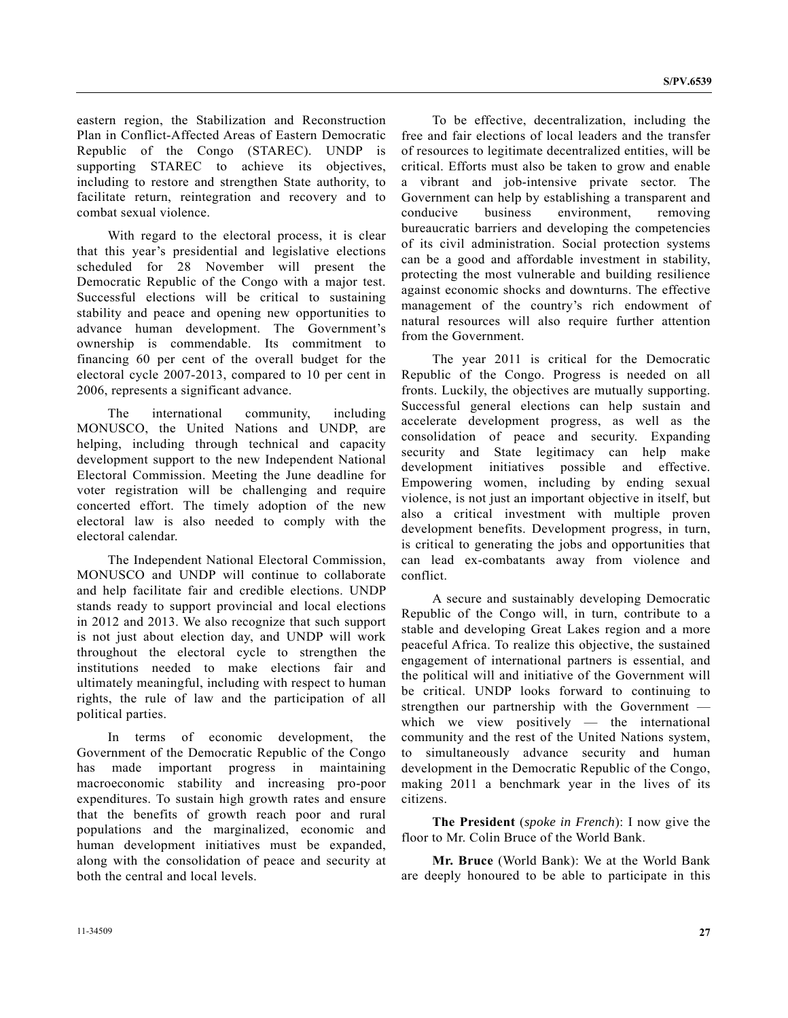eastern region, the Stabilization and Reconstruction Plan in Conflict-Affected Areas of Eastern Democratic Republic of the Congo (STAREC). UNDP is supporting STAREC to achieve its objectives, including to restore and strengthen State authority, to facilitate return, reintegration and recovery and to combat sexual violence.

 With regard to the electoral process, it is clear that this year's presidential and legislative elections scheduled for 28 November will present the Democratic Republic of the Congo with a major test. Successful elections will be critical to sustaining stability and peace and opening new opportunities to advance human development. The Government's ownership is commendable. Its commitment to financing 60 per cent of the overall budget for the electoral cycle 2007-2013, compared to 10 per cent in 2006, represents a significant advance.

 The international community, including MONUSCO, the United Nations and UNDP, are helping, including through technical and capacity development support to the new Independent National Electoral Commission. Meeting the June deadline for voter registration will be challenging and require concerted effort. The timely adoption of the new electoral law is also needed to comply with the electoral calendar.

 The Independent National Electoral Commission, MONUSCO and UNDP will continue to collaborate and help facilitate fair and credible elections. UNDP stands ready to support provincial and local elections in 2012 and 2013. We also recognize that such support is not just about election day, and UNDP will work throughout the electoral cycle to strengthen the institutions needed to make elections fair and ultimately meaningful, including with respect to human rights, the rule of law and the participation of all political parties.

 In terms of economic development, the Government of the Democratic Republic of the Congo has made important progress in maintaining macroeconomic stability and increasing pro-poor expenditures. To sustain high growth rates and ensure that the benefits of growth reach poor and rural populations and the marginalized, economic and human development initiatives must be expanded, along with the consolidation of peace and security at both the central and local levels.

 To be effective, decentralization, including the free and fair elections of local leaders and the transfer of resources to legitimate decentralized entities, will be critical. Efforts must also be taken to grow and enable a vibrant and job-intensive private sector. The Government can help by establishing a transparent and conducive business environment, removing bureaucratic barriers and developing the competencies of its civil administration. Social protection systems can be a good and affordable investment in stability, protecting the most vulnerable and building resilience against economic shocks and downturns. The effective management of the country's rich endowment of natural resources will also require further attention from the Government.

 The year 2011 is critical for the Democratic Republic of the Congo. Progress is needed on all fronts. Luckily, the objectives are mutually supporting. Successful general elections can help sustain and accelerate development progress, as well as the consolidation of peace and security. Expanding security and State legitimacy can help make development initiatives possible and effective. Empowering women, including by ending sexual violence, is not just an important objective in itself, but also a critical investment with multiple proven development benefits. Development progress, in turn, is critical to generating the jobs and opportunities that can lead ex-combatants away from violence and conflict.

 A secure and sustainably developing Democratic Republic of the Congo will, in turn, contribute to a stable and developing Great Lakes region and a more peaceful Africa. To realize this objective, the sustained engagement of international partners is essential, and the political will and initiative of the Government will be critical. UNDP looks forward to continuing to strengthen our partnership with the Government which we view positively — the international community and the rest of the United Nations system, to simultaneously advance security and human development in the Democratic Republic of the Congo, making 2011 a benchmark year in the lives of its citizens.

**The President** (*spoke in French*): I now give the floor to Mr. Colin Bruce of the World Bank.

**Mr. Bruce** (World Bank): We at the World Bank are deeply honoured to be able to participate in this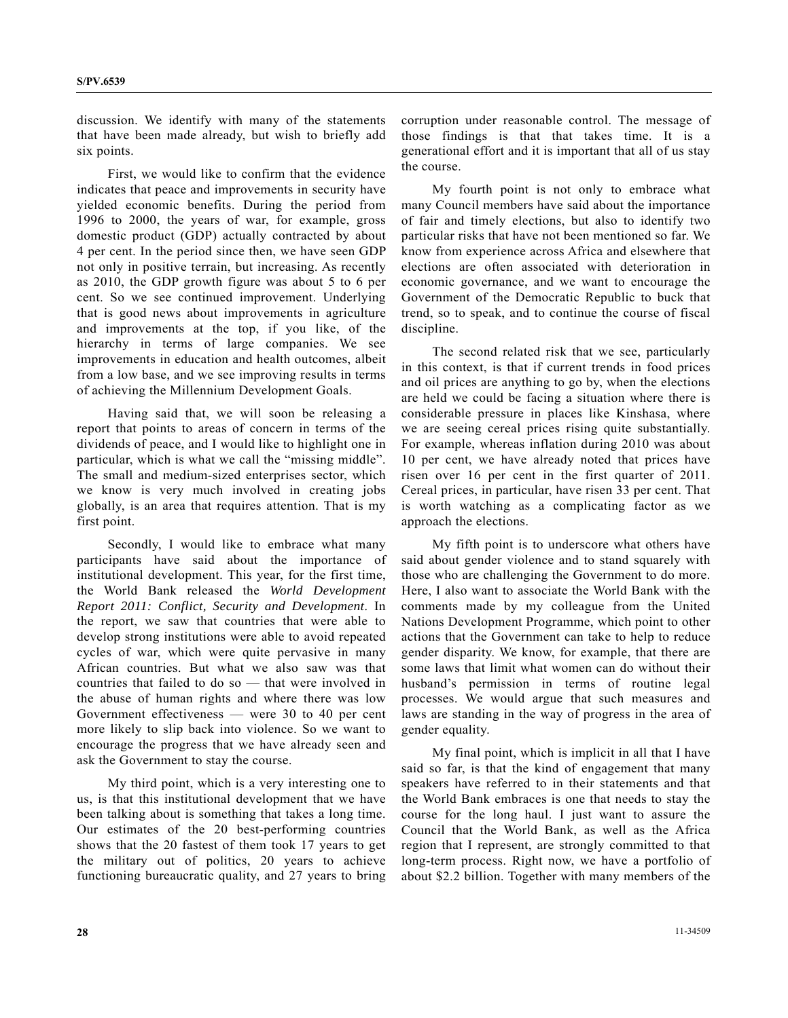discussion. We identify with many of the statements that have been made already, but wish to briefly add six points.

 First, we would like to confirm that the evidence indicates that peace and improvements in security have yielded economic benefits. During the period from 1996 to 2000, the years of war, for example, gross domestic product (GDP) actually contracted by about 4 per cent. In the period since then, we have seen GDP not only in positive terrain, but increasing. As recently as 2010, the GDP growth figure was about 5 to 6 per cent. So we see continued improvement. Underlying that is good news about improvements in agriculture and improvements at the top, if you like, of the hierarchy in terms of large companies. We see improvements in education and health outcomes, albeit from a low base, and we see improving results in terms of achieving the Millennium Development Goals.

 Having said that, we will soon be releasing a report that points to areas of concern in terms of the dividends of peace, and I would like to highlight one in particular, which is what we call the "missing middle". The small and medium-sized enterprises sector, which we know is very much involved in creating jobs globally, is an area that requires attention. That is my first point.

 Secondly, I would like to embrace what many participants have said about the importance of institutional development. This year, for the first time, the World Bank released the *World Development Report 2011: Conflict, Security and Development*. In the report, we saw that countries that were able to develop strong institutions were able to avoid repeated cycles of war, which were quite pervasive in many African countries. But what we also saw was that countries that failed to do so — that were involved in the abuse of human rights and where there was low Government effectiveness — were 30 to 40 per cent more likely to slip back into violence. So we want to encourage the progress that we have already seen and ask the Government to stay the course.

 My third point, which is a very interesting one to us, is that this institutional development that we have been talking about is something that takes a long time. Our estimates of the 20 best-performing countries shows that the 20 fastest of them took 17 years to get the military out of politics, 20 years to achieve functioning bureaucratic quality, and 27 years to bring corruption under reasonable control. The message of those findings is that that takes time. It is a generational effort and it is important that all of us stay the course.

 My fourth point is not only to embrace what many Council members have said about the importance of fair and timely elections, but also to identify two particular risks that have not been mentioned so far. We know from experience across Africa and elsewhere that elections are often associated with deterioration in economic governance, and we want to encourage the Government of the Democratic Republic to buck that trend, so to speak, and to continue the course of fiscal discipline.

 The second related risk that we see, particularly in this context, is that if current trends in food prices and oil prices are anything to go by, when the elections are held we could be facing a situation where there is considerable pressure in places like Kinshasa, where we are seeing cereal prices rising quite substantially. For example, whereas inflation during 2010 was about 10 per cent, we have already noted that prices have risen over 16 per cent in the first quarter of 2011. Cereal prices, in particular, have risen 33 per cent. That is worth watching as a complicating factor as we approach the elections.

 My fifth point is to underscore what others have said about gender violence and to stand squarely with those who are challenging the Government to do more. Here, I also want to associate the World Bank with the comments made by my colleague from the United Nations Development Programme, which point to other actions that the Government can take to help to reduce gender disparity. We know, for example, that there are some laws that limit what women can do without their husband's permission in terms of routine legal processes. We would argue that such measures and laws are standing in the way of progress in the area of gender equality.

 My final point, which is implicit in all that I have said so far, is that the kind of engagement that many speakers have referred to in their statements and that the World Bank embraces is one that needs to stay the course for the long haul. I just want to assure the Council that the World Bank, as well as the Africa region that I represent, are strongly committed to that long-term process. Right now, we have a portfolio of about \$2.2 billion. Together with many members of the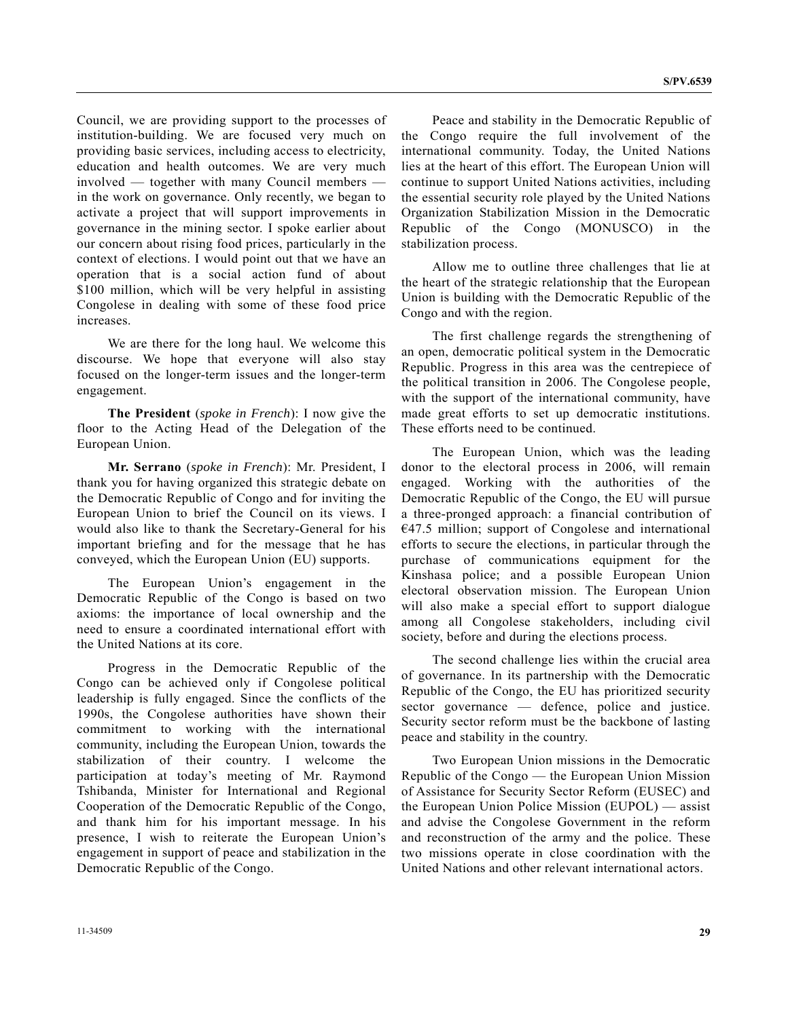Council, we are providing support to the processes of institution-building. We are focused very much on providing basic services, including access to electricity, education and health outcomes. We are very much involved — together with many Council members in the work on governance. Only recently, we began to activate a project that will support improvements in governance in the mining sector. I spoke earlier about our concern about rising food prices, particularly in the context of elections. I would point out that we have an operation that is a social action fund of about \$100 million, which will be very helpful in assisting Congolese in dealing with some of these food price increases.

 We are there for the long haul. We welcome this discourse. We hope that everyone will also stay focused on the longer-term issues and the longer-term engagement.

**The President** (*spoke in French*): I now give the floor to the Acting Head of the Delegation of the European Union.

**Mr. Serrano** (*spoke in French*): Mr. President, I thank you for having organized this strategic debate on the Democratic Republic of Congo and for inviting the European Union to brief the Council on its views. I would also like to thank the Secretary-General for his important briefing and for the message that he has conveyed, which the European Union (EU) supports.

 The European Union's engagement in the Democratic Republic of the Congo is based on two axioms: the importance of local ownership and the need to ensure a coordinated international effort with the United Nations at its core.

 Progress in the Democratic Republic of the Congo can be achieved only if Congolese political leadership is fully engaged. Since the conflicts of the 1990s, the Congolese authorities have shown their commitment to working with the international community, including the European Union, towards the stabilization of their country. I welcome the participation at today's meeting of Mr. Raymond Tshibanda, Minister for International and Regional Cooperation of the Democratic Republic of the Congo, and thank him for his important message. In his presence, I wish to reiterate the European Union's engagement in support of peace and stabilization in the Democratic Republic of the Congo.

 Peace and stability in the Democratic Republic of the Congo require the full involvement of the international community. Today, the United Nations lies at the heart of this effort. The European Union will continue to support United Nations activities, including the essential security role played by the United Nations Organization Stabilization Mission in the Democratic Republic of the Congo (MONUSCO) in the stabilization process.

 Allow me to outline three challenges that lie at the heart of the strategic relationship that the European Union is building with the Democratic Republic of the Congo and with the region.

 The first challenge regards the strengthening of an open, democratic political system in the Democratic Republic. Progress in this area was the centrepiece of the political transition in 2006. The Congolese people, with the support of the international community, have made great efforts to set up democratic institutions. These efforts need to be continued.

 The European Union, which was the leading donor to the electoral process in 2006, will remain engaged. Working with the authorities of the Democratic Republic of the Congo, the EU will pursue a three-pronged approach: a financial contribution of  $€47.5$  million; support of Congolese and international efforts to secure the elections, in particular through the purchase of communications equipment for the Kinshasa police; and a possible European Union electoral observation mission. The European Union will also make a special effort to support dialogue among all Congolese stakeholders, including civil society, before and during the elections process.

 The second challenge lies within the crucial area of governance. In its partnership with the Democratic Republic of the Congo, the EU has prioritized security sector governance — defence, police and justice. Security sector reform must be the backbone of lasting peace and stability in the country.

 Two European Union missions in the Democratic Republic of the Congo — the European Union Mission of Assistance for Security Sector Reform (EUSEC) and the European Union Police Mission (EUPOL) — assist and advise the Congolese Government in the reform and reconstruction of the army and the police. These two missions operate in close coordination with the United Nations and other relevant international actors.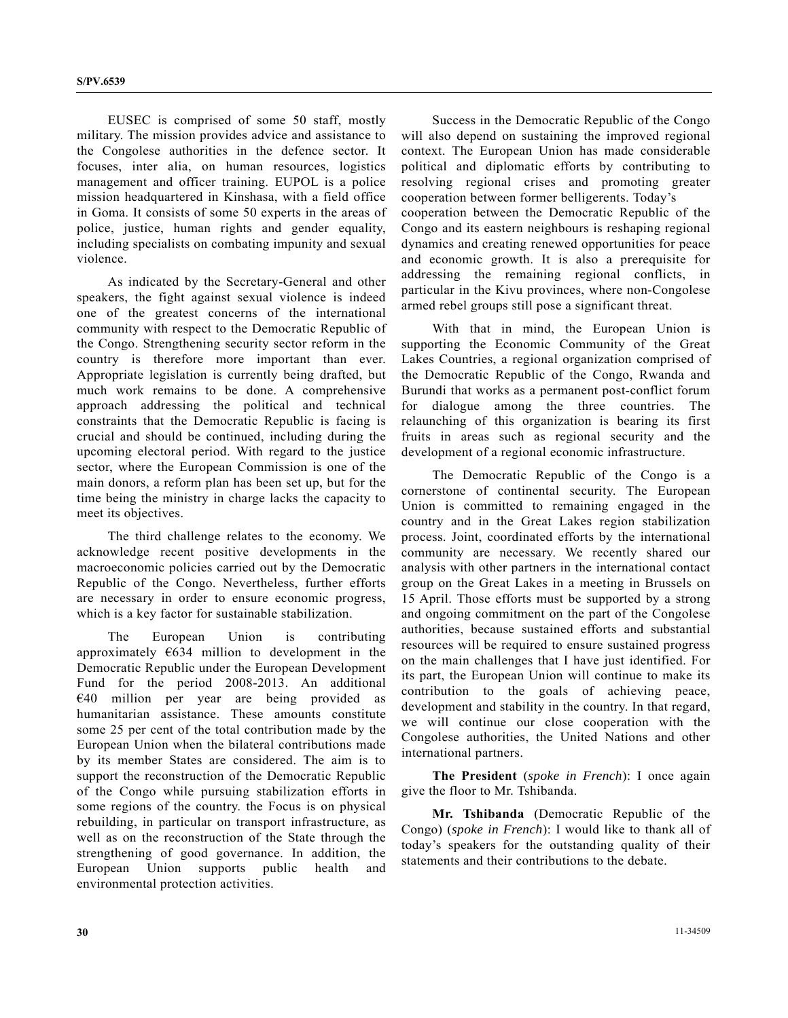EUSEC is comprised of some 50 staff, mostly military. The mission provides advice and assistance to the Congolese authorities in the defence sector. It focuses, inter alia, on human resources, logistics management and officer training. EUPOL is a police mission headquartered in Kinshasa, with a field office in Goma. It consists of some 50 experts in the areas of police, justice, human rights and gender equality, including specialists on combating impunity and sexual violence.

 As indicated by the Secretary-General and other speakers, the fight against sexual violence is indeed one of the greatest concerns of the international community with respect to the Democratic Republic of the Congo. Strengthening security sector reform in the country is therefore more important than ever. Appropriate legislation is currently being drafted, but much work remains to be done. A comprehensive approach addressing the political and technical constraints that the Democratic Republic is facing is crucial and should be continued, including during the upcoming electoral period. With regard to the justice sector, where the European Commission is one of the main donors, a reform plan has been set up, but for the time being the ministry in charge lacks the capacity to meet its objectives.

 The third challenge relates to the economy. We acknowledge recent positive developments in the macroeconomic policies carried out by the Democratic Republic of the Congo. Nevertheless, further efforts are necessary in order to ensure economic progress, which is a key factor for sustainable stabilization.

 The European Union is contributing approximately  $\epsilon$ 634 million to development in the Democratic Republic under the European Development Fund for the period 2008-2013. An additional €40 million per year are being provided as humanitarian assistance. These amounts constitute some 25 per cent of the total contribution made by the European Union when the bilateral contributions made by its member States are considered. The aim is to support the reconstruction of the Democratic Republic of the Congo while pursuing stabilization efforts in some regions of the country. the Focus is on physical rebuilding, in particular on transport infrastructure, as well as on the reconstruction of the State through the strengthening of good governance. In addition, the European Union supports public health and environmental protection activities.

 Success in the Democratic Republic of the Congo will also depend on sustaining the improved regional context. The European Union has made considerable political and diplomatic efforts by contributing to resolving regional crises and promoting greater cooperation between former belligerents. Today's cooperation between the Democratic Republic of the Congo and its eastern neighbours is reshaping regional dynamics and creating renewed opportunities for peace and economic growth. It is also a prerequisite for addressing the remaining regional conflicts, in particular in the Kivu provinces, where non-Congolese armed rebel groups still pose a significant threat.

 With that in mind, the European Union is supporting the Economic Community of the Great Lakes Countries, a regional organization comprised of the Democratic Republic of the Congo, Rwanda and Burundi that works as a permanent post-conflict forum for dialogue among the three countries. The relaunching of this organization is bearing its first fruits in areas such as regional security and the development of a regional economic infrastructure.

 The Democratic Republic of the Congo is a cornerstone of continental security. The European Union is committed to remaining engaged in the country and in the Great Lakes region stabilization process. Joint, coordinated efforts by the international community are necessary. We recently shared our analysis with other partners in the international contact group on the Great Lakes in a meeting in Brussels on 15 April. Those efforts must be supported by a strong and ongoing commitment on the part of the Congolese authorities, because sustained efforts and substantial resources will be required to ensure sustained progress on the main challenges that I have just identified. For its part, the European Union will continue to make its contribution to the goals of achieving peace, development and stability in the country. In that regard, we will continue our close cooperation with the Congolese authorities, the United Nations and other international partners.

**The President** (*spoke in French*): I once again give the floor to Mr. Tshibanda.

**Mr. Tshibanda** (Democratic Republic of the Congo) (*spoke in French*): I would like to thank all of today's speakers for the outstanding quality of their statements and their contributions to the debate.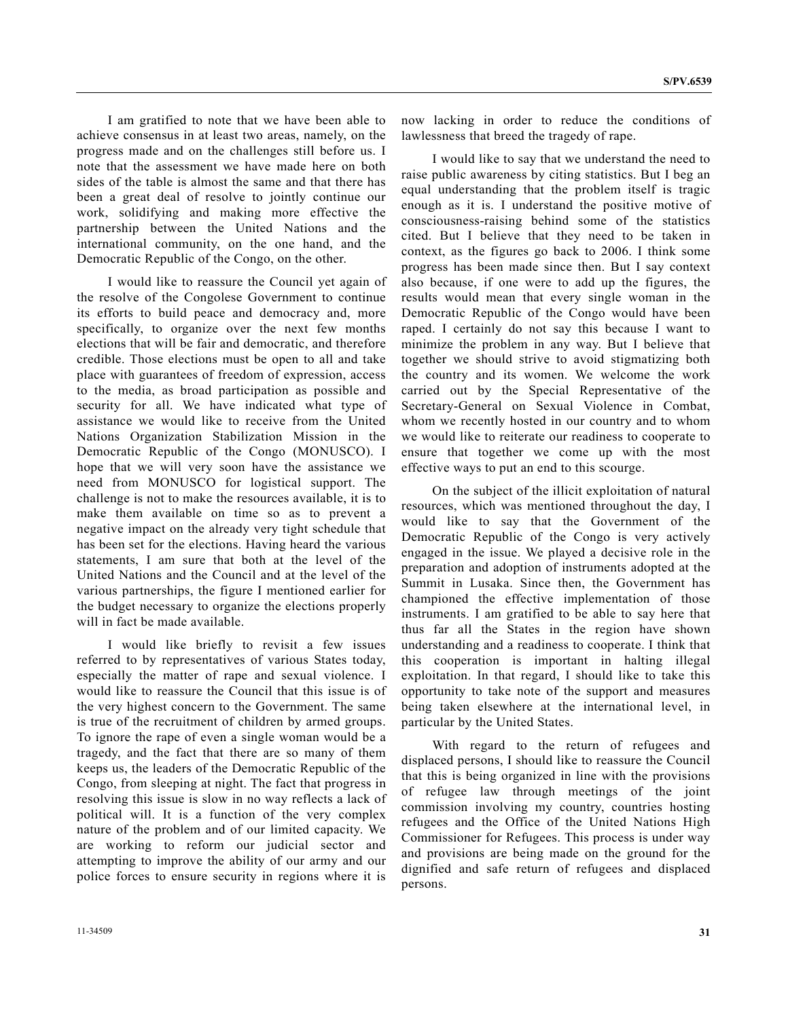I am gratified to note that we have been able to achieve consensus in at least two areas, namely, on the progress made and on the challenges still before us. I note that the assessment we have made here on both sides of the table is almost the same and that there has been a great deal of resolve to jointly continue our work, solidifying and making more effective the partnership between the United Nations and the international community, on the one hand, and the Democratic Republic of the Congo, on the other.

 I would like to reassure the Council yet again of the resolve of the Congolese Government to continue its efforts to build peace and democracy and, more specifically, to organize over the next few months elections that will be fair and democratic, and therefore credible. Those elections must be open to all and take place with guarantees of freedom of expression, access to the media, as broad participation as possible and security for all. We have indicated what type of assistance we would like to receive from the United Nations Organization Stabilization Mission in the Democratic Republic of the Congo (MONUSCO). I hope that we will very soon have the assistance we need from MONUSCO for logistical support. The challenge is not to make the resources available, it is to make them available on time so as to prevent a negative impact on the already very tight schedule that has been set for the elections. Having heard the various statements, I am sure that both at the level of the United Nations and the Council and at the level of the various partnerships, the figure I mentioned earlier for the budget necessary to organize the elections properly will in fact be made available.

 I would like briefly to revisit a few issues referred to by representatives of various States today, especially the matter of rape and sexual violence. I would like to reassure the Council that this issue is of the very highest concern to the Government. The same is true of the recruitment of children by armed groups. To ignore the rape of even a single woman would be a tragedy, and the fact that there are so many of them keeps us, the leaders of the Democratic Republic of the Congo, from sleeping at night. The fact that progress in resolving this issue is slow in no way reflects a lack of political will. It is a function of the very complex nature of the problem and of our limited capacity. We are working to reform our judicial sector and attempting to improve the ability of our army and our police forces to ensure security in regions where it is

now lacking in order to reduce the conditions of lawlessness that breed the tragedy of rape.

 I would like to say that we understand the need to raise public awareness by citing statistics. But I beg an equal understanding that the problem itself is tragic enough as it is. I understand the positive motive of consciousness-raising behind some of the statistics cited. But I believe that they need to be taken in context, as the figures go back to 2006. I think some progress has been made since then. But I say context also because, if one were to add up the figures, the results would mean that every single woman in the Democratic Republic of the Congo would have been raped. I certainly do not say this because I want to minimize the problem in any way. But I believe that together we should strive to avoid stigmatizing both the country and its women. We welcome the work carried out by the Special Representative of the Secretary-General on Sexual Violence in Combat, whom we recently hosted in our country and to whom we would like to reiterate our readiness to cooperate to ensure that together we come up with the most effective ways to put an end to this scourge.

 On the subject of the illicit exploitation of natural resources, which was mentioned throughout the day, I would like to say that the Government of the Democratic Republic of the Congo is very actively engaged in the issue. We played a decisive role in the preparation and adoption of instruments adopted at the Summit in Lusaka. Since then, the Government has championed the effective implementation of those instruments. I am gratified to be able to say here that thus far all the States in the region have shown understanding and a readiness to cooperate. I think that this cooperation is important in halting illegal exploitation. In that regard, I should like to take this opportunity to take note of the support and measures being taken elsewhere at the international level, in particular by the United States.

 With regard to the return of refugees and displaced persons, I should like to reassure the Council that this is being organized in line with the provisions of refugee law through meetings of the joint commission involving my country, countries hosting refugees and the Office of the United Nations High Commissioner for Refugees. This process is under way and provisions are being made on the ground for the dignified and safe return of refugees and displaced persons.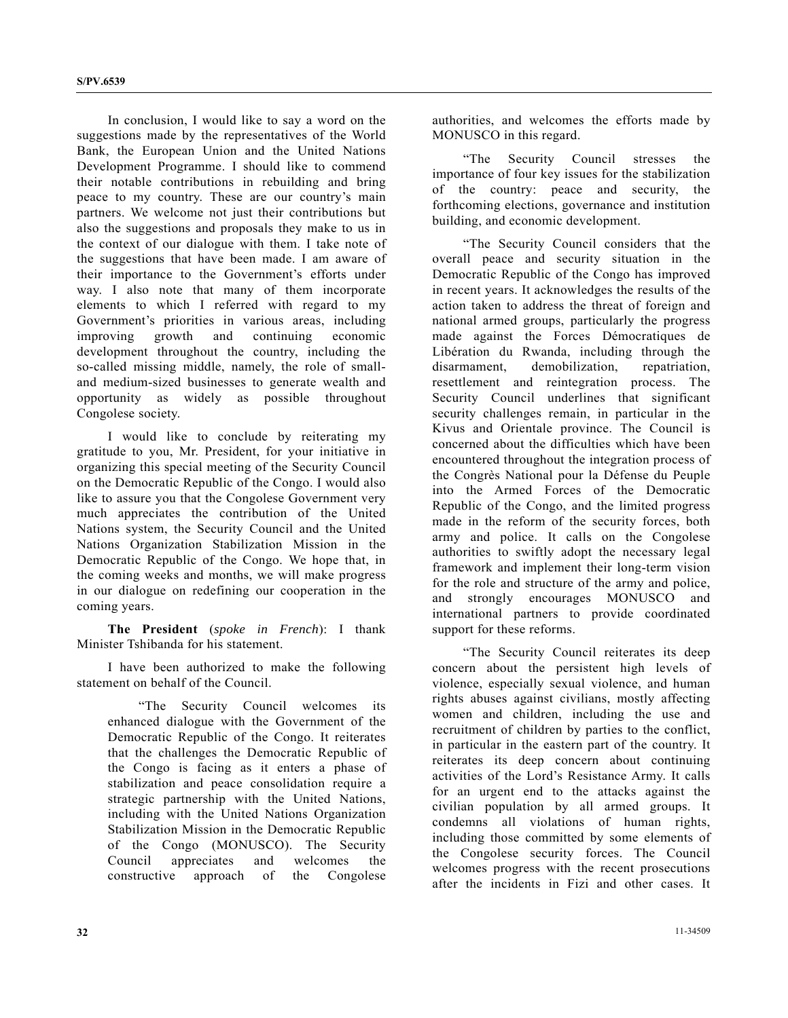In conclusion, I would like to say a word on the suggestions made by the representatives of the World Bank, the European Union and the United Nations Development Programme. I should like to commend their notable contributions in rebuilding and bring peace to my country. These are our country's main partners. We welcome not just their contributions but also the suggestions and proposals they make to us in the context of our dialogue with them. I take note of the suggestions that have been made. I am aware of their importance to the Government's efforts under way. I also note that many of them incorporate elements to which I referred with regard to my Government's priorities in various areas, including improving growth and continuing economic development throughout the country, including the so-called missing middle, namely, the role of smalland medium-sized businesses to generate wealth and opportunity as widely as possible throughout Congolese society.

 I would like to conclude by reiterating my gratitude to you, Mr. President, for your initiative in organizing this special meeting of the Security Council on the Democratic Republic of the Congo. I would also like to assure you that the Congolese Government very much appreciates the contribution of the United Nations system, the Security Council and the United Nations Organization Stabilization Mission in the Democratic Republic of the Congo. We hope that, in the coming weeks and months, we will make progress in our dialogue on redefining our cooperation in the coming years.

**The President** (*spoke in French*): I thank Minister Tshibanda for his statement.

 I have been authorized to make the following statement on behalf of the Council.

 "The Security Council welcomes its enhanced dialogue with the Government of the Democratic Republic of the Congo. It reiterates that the challenges the Democratic Republic of the Congo is facing as it enters a phase of stabilization and peace consolidation require a strategic partnership with the United Nations, including with the United Nations Organization Stabilization Mission in the Democratic Republic of the Congo (MONUSCO). The Security Council appreciates and welcomes the constructive approach of the Congolese

authorities, and welcomes the efforts made by MONUSCO in this regard.

 "The Security Council stresses the importance of four key issues for the stabilization of the country: peace and security, the forthcoming elections, governance and institution building, and economic development.

 "The Security Council considers that the overall peace and security situation in the Democratic Republic of the Congo has improved in recent years. It acknowledges the results of the action taken to address the threat of foreign and national armed groups, particularly the progress made against the Forces Démocratiques de Libération du Rwanda, including through the disarmament, demobilization, repatriation, resettlement and reintegration process. The Security Council underlines that significant security challenges remain, in particular in the Kivus and Orientale province. The Council is concerned about the difficulties which have been encountered throughout the integration process of the Congrès National pour la Défense du Peuple into the Armed Forces of the Democratic Republic of the Congo, and the limited progress made in the reform of the security forces, both army and police. It calls on the Congolese authorities to swiftly adopt the necessary legal framework and implement their long-term vision for the role and structure of the army and police, and strongly encourages MONUSCO and international partners to provide coordinated support for these reforms.

 "The Security Council reiterates its deep concern about the persistent high levels of violence, especially sexual violence, and human rights abuses against civilians, mostly affecting women and children, including the use and recruitment of children by parties to the conflict, in particular in the eastern part of the country. It reiterates its deep concern about continuing activities of the Lord's Resistance Army. It calls for an urgent end to the attacks against the civilian population by all armed groups. It condemns all violations of human rights, including those committed by some elements of the Congolese security forces. The Council welcomes progress with the recent prosecutions after the incidents in Fizi and other cases. It